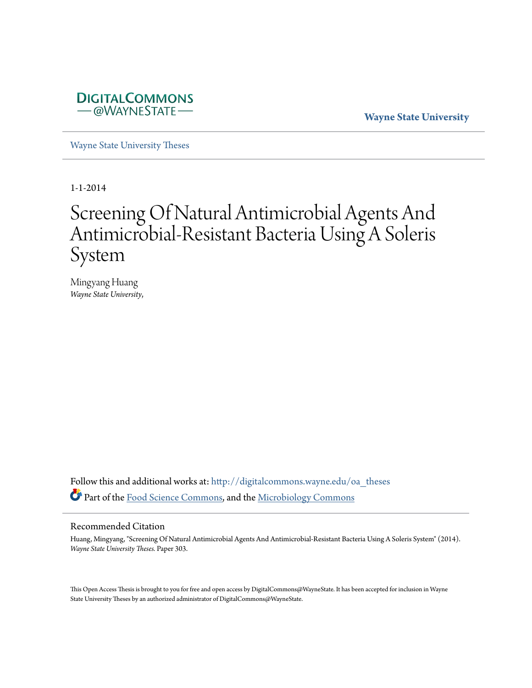

**Wayne State University**

[Wayne State University Theses](http://digitalcommons.wayne.edu/oa_theses?utm_source=digitalcommons.wayne.edu%2Foa_theses%2F303&utm_medium=PDF&utm_campaign=PDFCoverPages)

1-1-2014

# Screening Of Natural Antimicrobial Agents And Antimicrobial-Resistant Bacteria Using A Soleris System

Mingyang Huang *Wayne State University*,

Follow this and additional works at: [http://digitalcommons.wayne.edu/oa\\_theses](http://digitalcommons.wayne.edu/oa_theses?utm_source=digitalcommons.wayne.edu%2Foa_theses%2F303&utm_medium=PDF&utm_campaign=PDFCoverPages) Part of the [Food Science Commons](http://network.bepress.com/hgg/discipline/84?utm_source=digitalcommons.wayne.edu%2Foa_theses%2F303&utm_medium=PDF&utm_campaign=PDFCoverPages), and the [Microbiology Commons](http://network.bepress.com/hgg/discipline/48?utm_source=digitalcommons.wayne.edu%2Foa_theses%2F303&utm_medium=PDF&utm_campaign=PDFCoverPages)

#### Recommended Citation

Huang, Mingyang, "Screening Of Natural Antimicrobial Agents And Antimicrobial-Resistant Bacteria Using A Soleris System" (2014). *Wayne State University Theses.* Paper 303.

This Open Access Thesis is brought to you for free and open access by DigitalCommons@WayneState. It has been accepted for inclusion in Wayne State University Theses by an authorized administrator of DigitalCommons@WayneState.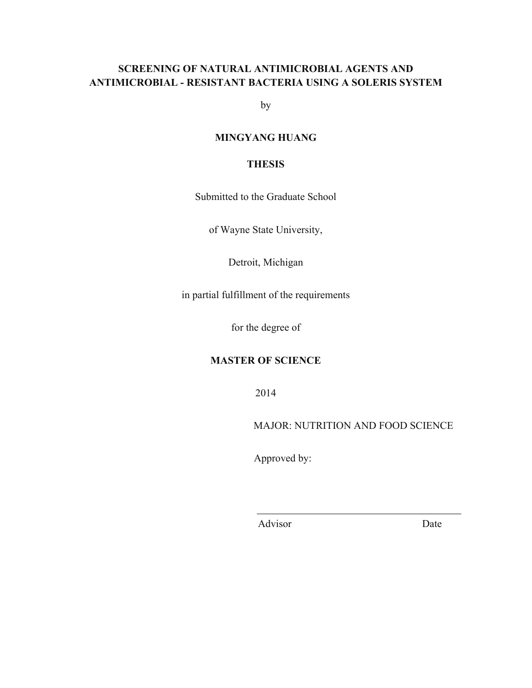# **SCREENING OF NATURAL ANTIMICROBIAL AGENTS AND ANTIMICROBIAL - RESISTANT BACTERIA USING A SOLERIS SYSTEM**

by

# **MINGYANG HUANG**

# **THESIS**

Submitted to the Graduate School

of Wayne State University,

Detroit, Michigan

in partial fulfillment of the requirements

for the degree of

# **MASTER OF SCIENCE**

2014

MAJOR: NUTRITION AND FOOD SCIENCE

Approved by:

Advisor Date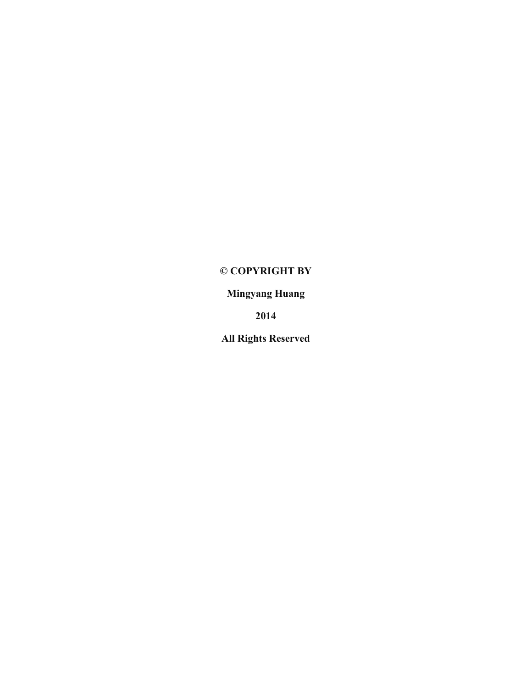# **© COPYRIGHT BY**

**Mingyang Huang**

**2014**

**All Rights Reserved**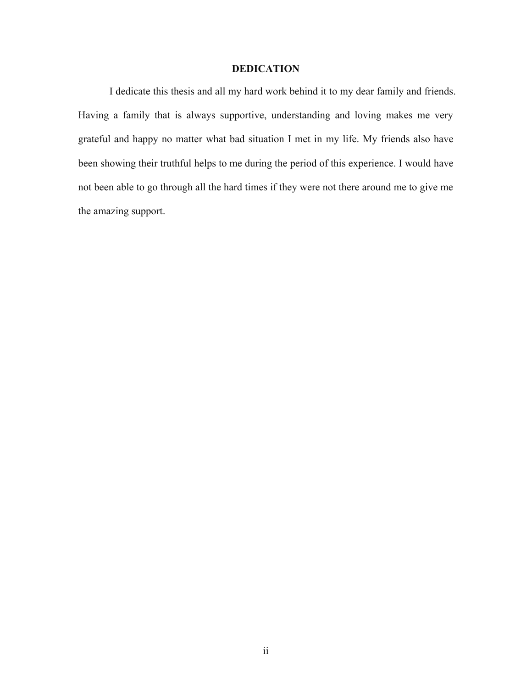# **DEDICATION**

I dedicate this thesis and all my hard work behind it to my dear family and friends. Having a family that is always supportive, understanding and loving makes me very grateful and happy no matter what bad situation I met in my life. My friends also have been showing their truthful helps to me during the period of this experience. I would have not been able to go through all the hard times if they were not there around me to give me the amazing support.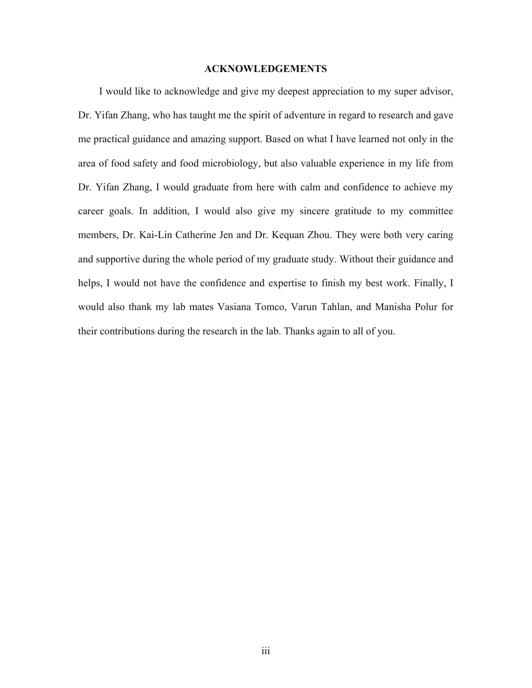## **ACKNOWLEDGEMENTS**

I would like to acknowledge and give my deepest appreciation to my super advisor, Dr. Yifan Zhang, who has taught me the spirit of adventure in regard to research and gave me practical guidance and amazing support. Based on what I have learned not only in the area of food safety and food microbiology, but also valuable experience in my life from Dr. Yifan Zhang, I would graduate from here with calm and confidence to achieve my career goals. In addition, I would also give my sincere gratitude to my committee members, Dr. Kai-Lin Catherine Jen and Dr. Kequan Zhou. They were both very caring and supportive during the whole period of my graduate study. Without their guidance and helps, I would not have the confidence and expertise to finish my best work. Finally, I would also thank my lab mates Vasiana Tomco, Varun Tahlan, and Manisha Polur for their contributions during the research in the lab. Thanks again to all of you.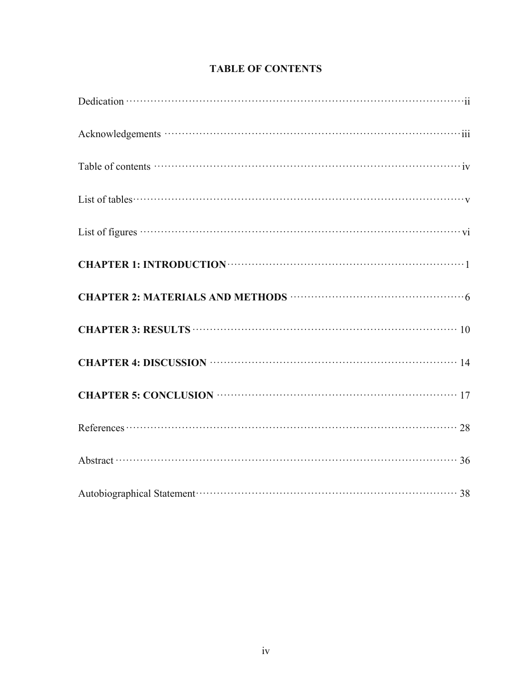| Table of contents $\cdots$ $\cdots$ $\cdots$ $\cdots$ $\cdots$ $\cdots$ $\cdots$ $\cdots$ $\cdots$ $\cdots$ $\cdots$ $\cdots$ $\cdots$ $\cdots$ $\cdots$                                                                                                                                                                             |
|--------------------------------------------------------------------------------------------------------------------------------------------------------------------------------------------------------------------------------------------------------------------------------------------------------------------------------------|
| List of tables $\cdots$ $\cdots$ $\cdots$ $\cdots$ $\cdots$ $\cdots$ $\cdots$ $\cdots$ $\cdots$ $\cdots$ $\cdots$ $\cdots$ $\cdots$ $\cdots$ $\cdots$ $\cdots$ $\cdots$ $\cdots$ $\cdots$ $\cdots$ $\cdots$ $\cdots$ $\cdots$ $\cdots$ $\cdots$ $\cdots$ $\cdots$ $\cdots$ $\cdots$ $\cdots$ $\cdots$ $\cdots$ $\cdots$ $\cdots$ $\$ |
|                                                                                                                                                                                                                                                                                                                                      |
|                                                                                                                                                                                                                                                                                                                                      |
| CHAPTER 2: MATERIALS AND METHODS <b>CHAPTER 2:</b> MATERIALS AND METHODS                                                                                                                                                                                                                                                             |
| CHAPTER 3: RESULTS <b>CHAPTER</b> 3: RESULTS <b>CHAPTER</b> 3: RESULTS <b>CHAPTER</b> 3: RESULTS <b>CHAPTER</b> 3: RESULTS <b>CHAPTER</b> 3: RESULTS <b>CHAPTER</b> 3: RESULTS <b>CHAPTER</b> 3: RESULTS <b>CHAPTER</b> 3: RESULTS <b>CHAPTER</b> 3: RESULTS <b>CHAPTER</b> 3: R                                                     |
| CHAPTER 4: DISCUSSION <b>WEIGHTER 4: DISCUSSION</b>                                                                                                                                                                                                                                                                                  |
| CHAPTER 5: CONCLUSION <b>WEIGHTER 5:</b> CONCLUSION                                                                                                                                                                                                                                                                                  |
|                                                                                                                                                                                                                                                                                                                                      |
|                                                                                                                                                                                                                                                                                                                                      |
|                                                                                                                                                                                                                                                                                                                                      |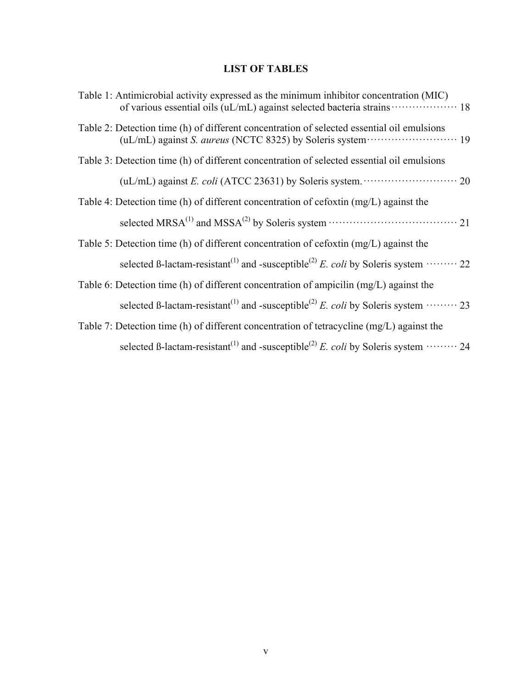# **LIST OF TABLES**

| Table 1: Antimicrobial activity expressed as the minimum inhibitor concentration (MIC)                           |
|------------------------------------------------------------------------------------------------------------------|
| Table 2: Detection time (h) of different concentration of selected essential oil emulsions                       |
| Table 3: Detection time (h) of different concentration of selected essential oil emulsions                       |
| (uL/mL) against E. coli (ATCC 23631) by Soleris system. $\cdots$ $\cdots$ $\cdots$ 20                            |
| Table 4: Detection time (h) of different concentration of cefoxtin (mg/L) against the                            |
|                                                                                                                  |
| Table 5: Detection time (h) of different concentration of cefoxtin $(mg/L)$ against the                          |
| selected B-lactam-resistant <sup>(1)</sup> and -susceptible <sup>(2)</sup> E. coli by Soleris system $\cdots$ 22 |
| Table 6: Detection time (h) of different concentration of ampicilin (mg/L) against the                           |
| selected B-lactam-resistant <sup>(1)</sup> and -susceptible <sup>(2)</sup> E. coli by Soleris system $\cdots$ 23 |
| Table 7: Detection time (h) of different concentration of tetracycline (mg/L) against the                        |
| selected B-lactam-resistant <sup>(1)</sup> and -susceptible <sup>(2)</sup> E. coli by Soleris system $\cdots$ 24 |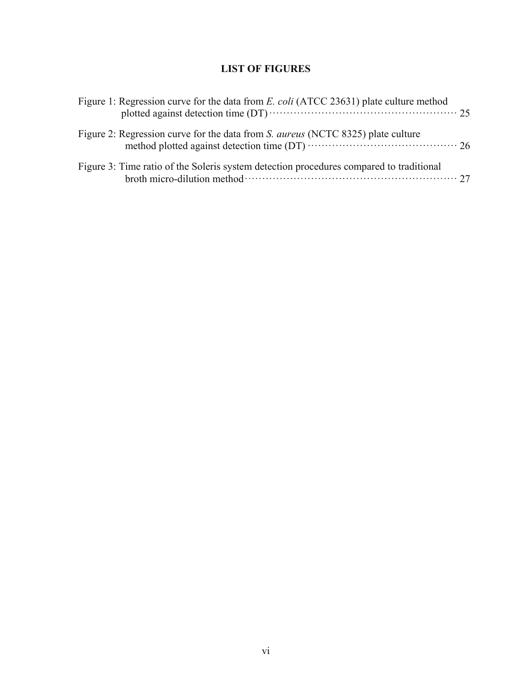# **LIST OF FIGURES**

| Figure 1: Regression curve for the data from <i>E. coli</i> (ATCC 23631) plate culture method |  |
|-----------------------------------------------------------------------------------------------|--|
| Figure 2: Regression curve for the data from S. <i>aureus</i> (NCTC 8325) plate culture       |  |
| Figure 3: Time ratio of the Soleris system detection procedures compared to traditional       |  |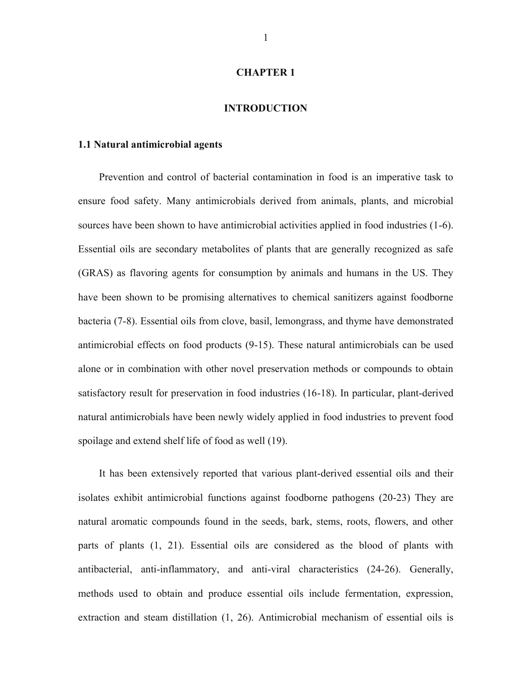## **CHAPTER 1**

#### **INTRODUCTION**

#### **1.1 Natural antimicrobial agents**

Prevention and control of bacterial contamination in food is an imperative task to ensure food safety. Many antimicrobials derived from animals, plants, and microbial sources have been shown to have antimicrobial activities applied in food industries (1-6). Essential oils are secondary metabolites of plants that are generally recognized as safe (GRAS) as flavoring agents for consumption by animals and humans in the US. They have been shown to be promising alternatives to chemical sanitizers against foodborne bacteria (7-8). Essential oils from clove, basil, lemongrass, and thyme have demonstrated antimicrobial effects on food products (9-15). These natural antimicrobials can be used alone or in combination with other novel preservation methods or compounds to obtain satisfactory result for preservation in food industries (16-18). In particular, plant-derived natural antimicrobials have been newly widely applied in food industries to prevent food spoilage and extend shelf life of food as well (19).

It has been extensively reported that various plant-derived essential oils and their isolates exhibit antimicrobial functions against foodborne pathogens (20-23) They are natural aromatic compounds found in the seeds, bark, stems, roots, flowers, and other parts of plants (1, 21). Essential oils are considered as the blood of plants with antibacterial, anti-inflammatory, and anti-viral characteristics (24-26). Generally, methods used to obtain and produce essential oils include fermentation, expression, extraction and steam distillation (1, 26). Antimicrobial mechanism of essential oils is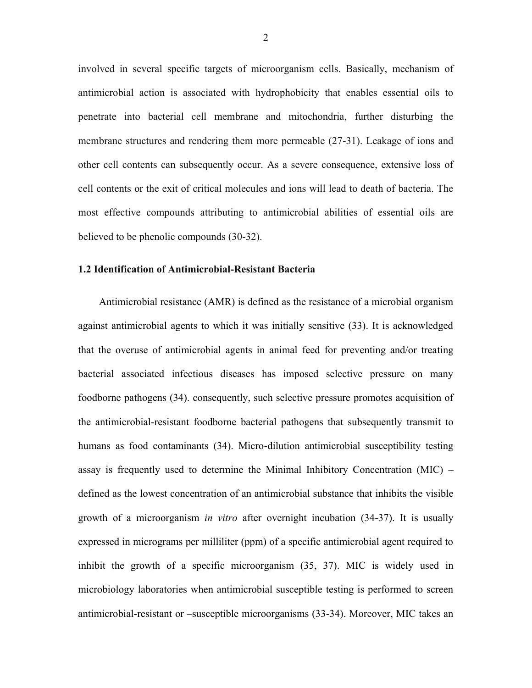involved in several specific targets of microorganism cells. Basically, mechanism of antimicrobial action is associated with hydrophobicity that enables essential oils to penetrate into bacterial cell membrane and mitochondria, further disturbing the membrane structures and rendering them more permeable (27-31). Leakage of ions and other cell contents can subsequently occur. As a severe consequence, extensive loss of cell contents or the exit of critical molecules and ions will lead to death of bacteria. The most effective compounds attributing to antimicrobial abilities of essential oils are believed to be phenolic compounds (30-32).

#### **1.2 Identification of Antimicrobial-Resistant Bacteria**

Antimicrobial resistance (AMR) is defined as the resistance of a microbial organism against antimicrobial agents to which it was initially sensitive (33). It is acknowledged that the overuse of antimicrobial agents in animal feed for preventing and/or treating bacterial associated infectious diseases has imposed selective pressure on many foodborne pathogens (34). consequently, such selective pressure promotes acquisition of the antimicrobial-resistant foodborne bacterial pathogens that subsequently transmit to humans as food contaminants (34). Micro-dilution antimicrobial susceptibility testing assay is frequently used to determine the Minimal Inhibitory Concentration (MIC) – defined as the lowest concentration of an antimicrobial substance that inhibits the visible growth of a microorganism *in vitro* after overnight incubation (34-37). It is usually expressed in micrograms per milliliter (ppm) of a specific antimicrobial agent required to inhibit the growth of a specific microorganism (35, 37). MIC is widely used in microbiology laboratories when antimicrobial susceptible testing is performed to screen antimicrobial-resistant or –susceptible microorganisms (33-34). Moreover, MIC takes an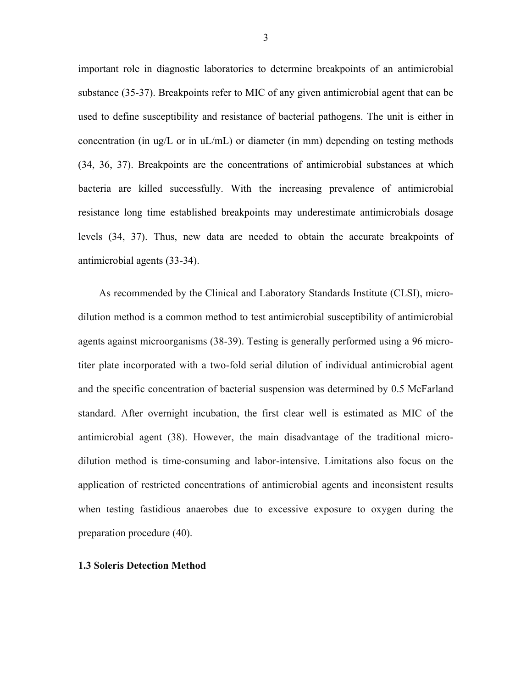important role in diagnostic laboratories to determine breakpoints of an antimicrobial substance (35-37). Breakpoints refer to MIC of any given antimicrobial agent that can be used to define susceptibility and resistance of bacterial pathogens. The unit is either in concentration (in ug/L or in  $uL/mL$ ) or diameter (in mm) depending on testing methods (34, 36, 37). Breakpoints are the concentrations of antimicrobial substances at which bacteria are killed successfully. With the increasing prevalence of antimicrobial resistance long time established breakpoints may underestimate antimicrobials dosage levels (34, 37). Thus, new data are needed to obtain the accurate breakpoints of antimicrobial agents (33-34).

As recommended by the Clinical and Laboratory Standards Institute (CLSI), microdilution method is a common method to test antimicrobial susceptibility of antimicrobial agents against microorganisms (38-39). Testing is generally performed using a 96 microtiter plate incorporated with a two-fold serial dilution of individual antimicrobial agent and the specific concentration of bacterial suspension was determined by 0.5 McFarland standard. After overnight incubation, the first clear well is estimated as MIC of the antimicrobial agent (38). However, the main disadvantage of the traditional microdilution method is time-consuming and labor-intensive. Limitations also focus on the application of restricted concentrations of antimicrobial agents and inconsistent results when testing fastidious anaerobes due to excessive exposure to oxygen during the preparation procedure (40).

#### **1.3 Soleris Detection Method**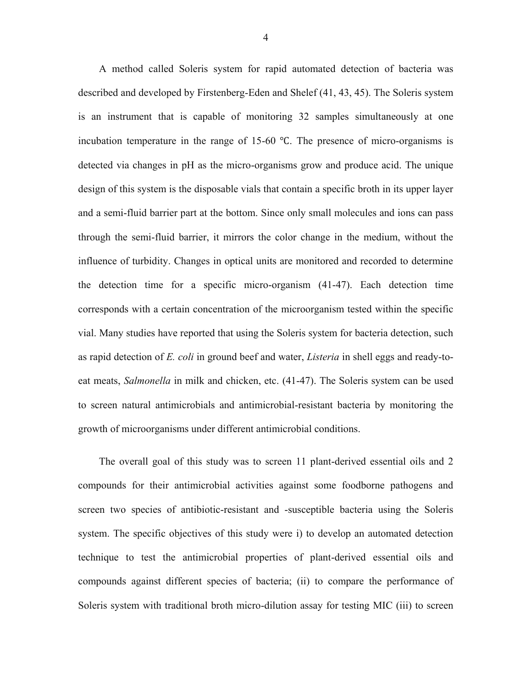A method called Soleris system for rapid automated detection of bacteria was described and developed by Firstenberg-Eden and Shelef (41, 43, 45). The Soleris system is an instrument that is capable of monitoring 32 samples simultaneously at one incubation temperature in the range of 15-60 ℃. The presence of micro-organisms is detected via changes in pH as the micro-organisms grow and produce acid. The unique design of this system is the disposable vials that contain a specific broth in its upper layer and a semi-fluid barrier part at the bottom. Since only small molecules and ions can pass through the semi-fluid barrier, it mirrors the color change in the medium, without the influence of turbidity. Changes in optical units are monitored and recorded to determine the detection time for a specific micro-organism (41-47). Each detection time corresponds with a certain concentration of the microorganism tested within the specific vial. Many studies have reported that using the Soleris system for bacteria detection, such as rapid detection of *E. coli* in ground beef and water, *Listeria* in shell eggs and ready-toeat meats, *Salmonella* in milk and chicken, etc. (41-47). The Soleris system can be used to screen natural antimicrobials and antimicrobial-resistant bacteria by monitoring the growth of microorganisms under different antimicrobial conditions.

The overall goal of this study was to screen 11 plant-derived essential oils and 2 compounds for their antimicrobial activities against some foodborne pathogens and screen two species of antibiotic-resistant and -susceptible bacteria using the Soleris system. The specific objectives of this study were i) to develop an automated detection technique to test the antimicrobial properties of plant-derived essential oils and compounds against different species of bacteria; (ii) to compare the performance of Soleris system with traditional broth micro-dilution assay for testing MIC (iii) to screen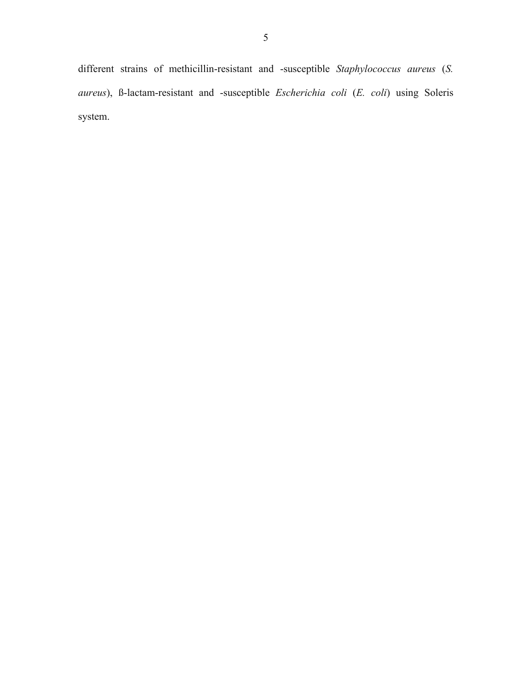different strains of methicillin-resistant and -susceptible *Staphylococcus aureus* (*S. aureus*), ß-lactam-resistant and -susceptible *Escherichia coli* (*E. coli*) using Soleris system.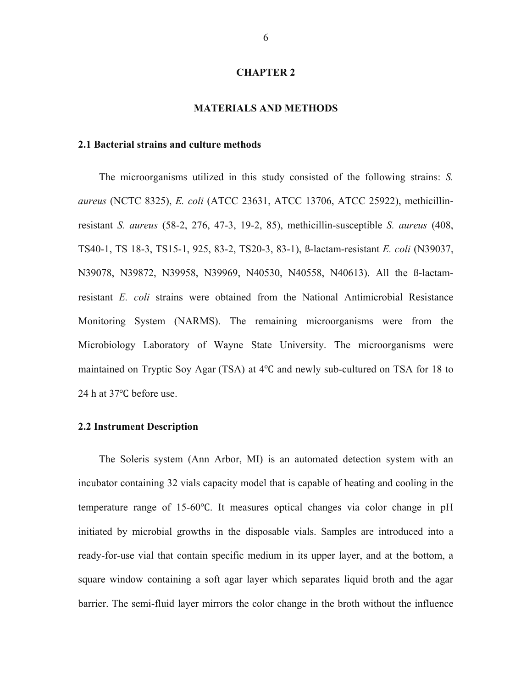#### **CHAPTER 2**

#### **MATERIALS AND METHODS**

#### **2.1 Bacterial strains and culture methods**

The microorganisms utilized in this study consisted of the following strains: *S. aureus* (NCTC 8325), *E. coli* (ATCC 23631, ATCC 13706, ATCC 25922), methicillinresistant *S. aureus* (58-2, 276, 47-3, 19-2, 85), methicillin-susceptible *S. aureus* (408, TS40-1, TS 18-3, TS15-1, 925, 83-2, TS20-3, 83-1), ß-lactam-resistant *E. coli* (N39037, N39078, N39872, N39958, N39969, N40530, N40558, N40613). All the ß-lactamresistant *E. coli* strains were obtained from the National Antimicrobial Resistance Monitoring System (NARMS). The remaining microorganisms were from the Microbiology Laboratory of Wayne State University. The microorganisms were maintained on Tryptic Soy Agar (TSA) at 4℃ and newly sub-cultured on TSA for 18 to 24 h at 37<sup>o</sup>C before use.

#### **2.2 Instrument Description**

The Soleris system (Ann Arbor, MI) is an automated detection system with an incubator containing 32 vials capacity model that is capable of heating and cooling in the temperature range of 15-60℃. It measures optical changes via color change in pH initiated by microbial growths in the disposable vials. Samples are introduced into a ready-for-use vial that contain specific medium in its upper layer, and at the bottom, a square window containing a soft agar layer which separates liquid broth and the agar barrier. The semi-fluid layer mirrors the color change in the broth without the influence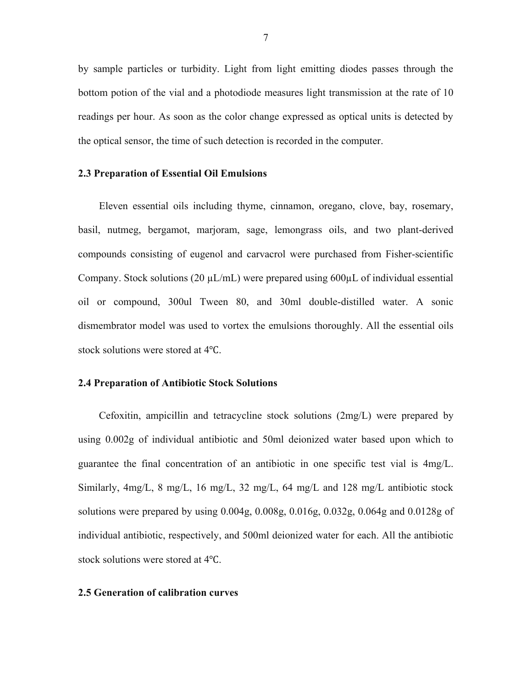by sample particles or turbidity. Light from light emitting diodes passes through the bottom potion of the vial and a photodiode measures light transmission at the rate of 10 readings per hour. As soon as the color change expressed as optical units is detected by the optical sensor, the time of such detection is recorded in the computer.

## **2.3 Preparation of Essential Oil Emulsions**

Eleven essential oils including thyme, cinnamon, oregano, clove, bay, rosemary, basil, nutmeg, bergamot, marjoram, sage, lemongrass oils, and two plant-derived compounds consisting of eugenol and carvacrol were purchased from Fisher-scientific Company. Stock solutions (20  $\mu L/mL$ ) were prepared using 600 $\mu L$  of individual essential oil or compound, 300ul Tween 80, and 30ml double-distilled water. A sonic dismembrator model was used to vortex the emulsions thoroughly. All the essential oils stock solutions were stored at 4℃.

#### **2.4 Preparation of Antibiotic Stock Solutions**

Cefoxitin, ampicillin and tetracycline stock solutions (2mg/L) were prepared by using 0.002g of individual antibiotic and 50ml deionized water based upon which to guarantee the final concentration of an antibiotic in one specific test vial is 4mg/L. Similarly, 4mg/L, 8 mg/L, 16 mg/L, 32 mg/L, 64 mg/L and 128 mg/L antibiotic stock solutions were prepared by using 0.004g, 0.008g, 0.016g, 0.032g, 0.064g and 0.0128g of individual antibiotic, respectively, and 500ml deionized water for each. All the antibiotic stock solutions were stored at 4℃.

## **2.5 Generation of calibration curves**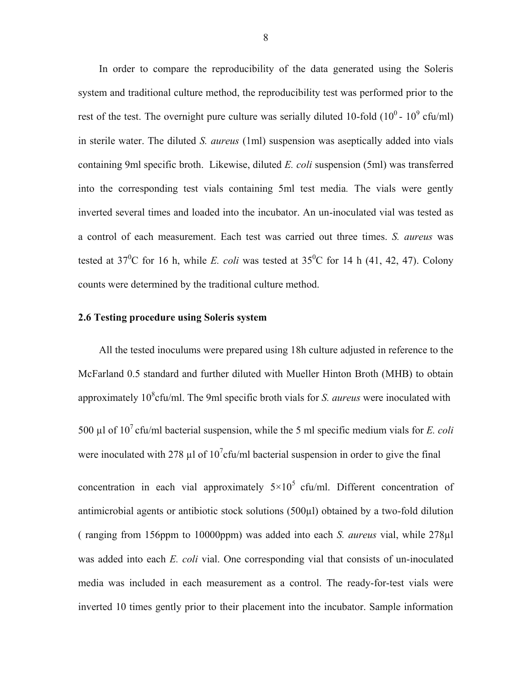In order to compare the reproducibility of the data generated using the Soleris system and traditional culture method, the reproducibility test was performed prior to the rest of the test. The overnight pure culture was serially diluted 10-fold  $(10^0 - 10^9 \text{ cftu/ml})$ in sterile water. The diluted *S. aureus* (1ml) suspension was aseptically added into vials containing 9ml specific broth. Likewise, diluted *E. coli* suspension (5ml) was transferred into the corresponding test vials containing 5ml test media*.* The vials were gently inverted several times and loaded into the incubator. An un-inoculated vial was tested as a control of each measurement. Each test was carried out three times. *S. aureus* was tested at  $37^{\circ}$ C for 16 h, while *E. coli* was tested at  $35^{\circ}$ C for 14 h (41, 42, 47). Colony counts were determined by the traditional culture method.

#### **2.6 Testing procedure using Soleris system**

All the tested inoculums were prepared using 18h culture adjusted in reference to the McFarland 0.5 standard and further diluted with Mueller Hinton Broth (MHB) to obtain approximately 10<sup>8</sup>cfu/ml. The 9ml specific broth vials for *S. aureus* were inoculated with 500  $\mu$ l of 10<sup>7</sup> cfu/ml bacterial suspension, while the 5 ml specific medium vials for *E. coli* were inoculated with 278  $\mu$ l of 10<sup>7</sup> cfu/ml bacterial suspension in order to give the final concentration in each vial approximately  $5 \times 10^5$  cfu/ml. Different concentration of antimicrobial agents or antibiotic stock solutions (500µl) obtained by a two-fold dilution ( ranging from 156ppm to 10000ppm) was added into each *S. aureus* vial, while 278µl was added into each *E. coli* vial. One corresponding vial that consists of un-inoculated media was included in each measurement as a control. The ready-for-test vials were inverted 10 times gently prior to their placement into the incubator. Sample information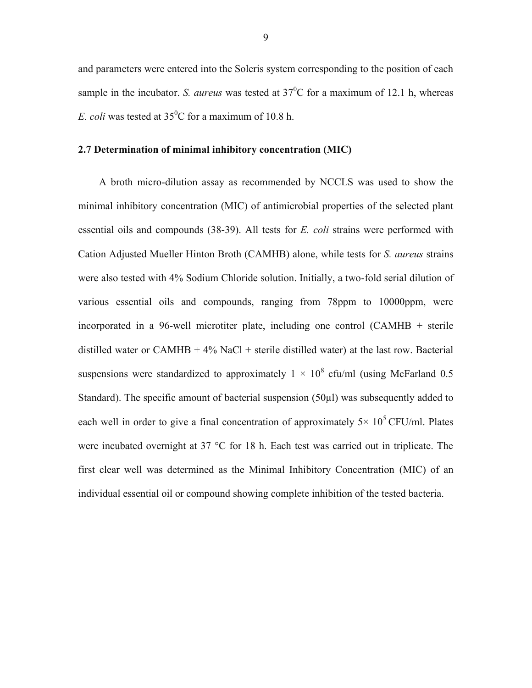and parameters were entered into the Soleris system corresponding to the position of each sample in the incubator. *S. aureus* was tested at  $37^{\circ}$ C for a maximum of 12.1 h, whereas *E. coli* was tested at  $35^{\circ}$ C for a maximum of 10.8 h.

#### **2.7 Determination of minimal inhibitory concentration (MIC)**

A broth micro-dilution assay as recommended by NCCLS was used to show the minimal inhibitory concentration (MIC) of antimicrobial properties of the selected plant essential oils and compounds (38-39). All tests for *E. coli* strains were performed with Cation Adjusted Mueller Hinton Broth (CAMHB) alone, while tests for *S. aureus* strains were also tested with 4% Sodium Chloride solution. Initially, a two-fold serial dilution of various essential oils and compounds, ranging from 78ppm to 10000ppm, were incorporated in a 96-well microtiter plate, including one control (CAMHB + sterile distilled water or CAMHB  $+ 4\%$  NaCl  $+$  sterile distilled water) at the last row. Bacterial suspensions were standardized to approximately  $1 \times 10^8$  cfu/ml (using McFarland 0.5) Standard). The specific amount of bacterial suspension (50 $\mu$ l) was subsequently added to each well in order to give a final concentration of approximately  $5 \times 10^5$  CFU/ml. Plates were incubated overnight at 37 °C for 18 h. Each test was carried out in triplicate. The first clear well was determined as the Minimal Inhibitory Concentration (MIC) of an individual essential oil or compound showing complete inhibition of the tested bacteria.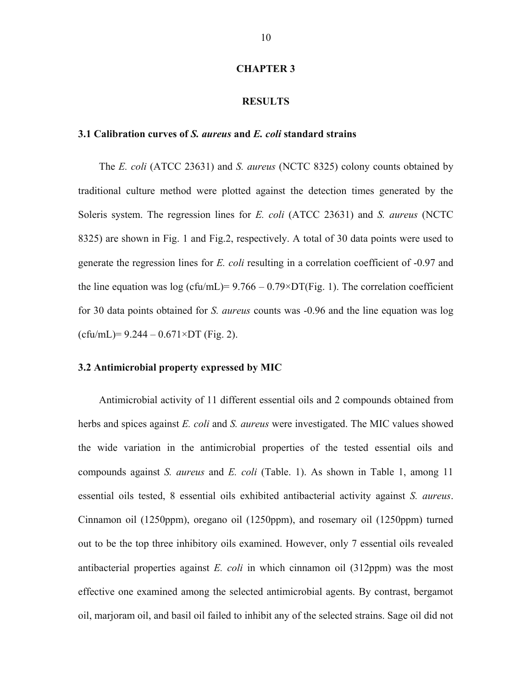#### **CHAPTER 3**

#### **RESULTS**

# **3.1 Calibration curves of** *S. aureus* **and** *E. coli* **standard strains**

The *E. coli* (ATCC 23631) and *S. aureus* (NCTC 8325) colony counts obtained by traditional culture method were plotted against the detection times generated by the Soleris system. The regression lines for *E. coli* (ATCC 23631) and *S. aureus* (NCTC 8325) are shown in Fig. 1 and Fig.2, respectively. A total of 30 data points were used to generate the regression lines for *E. coli* resulting in a correlation coefficient of -0.97 and the line equation was log (cfu/mL)=  $9.766 - 0.79 \times DT$  (Fig. 1). The correlation coefficient for 30 data points obtained for *S. aureus* counts was -0.96 and the line equation was log  $(cfu/mL)= 9.244 - 0.671 \times DT$  (Fig. 2).

#### **3.2 Antimicrobial property expressed by MIC**

Antimicrobial activity of 11 different essential oils and 2 compounds obtained from herbs and spices against *E. coli* and *S. aureus* were investigated. The MIC values showed the wide variation in the antimicrobial properties of the tested essential oils and compounds against *S. aureus* and *E. coli* (Table. 1). As shown in Table 1, among 11 essential oils tested, 8 essential oils exhibited antibacterial activity against *S. aureus*. Cinnamon oil (1250ppm), oregano oil (1250ppm), and rosemary oil (1250ppm) turned out to be the top three inhibitory oils examined. However, only 7 essential oils revealed antibacterial properties against *E. coli* in which cinnamon oil (312ppm) was the most effective one examined among the selected antimicrobial agents. By contrast, bergamot oil, marjoram oil, and basil oil failed to inhibit any of the selected strains. Sage oil did not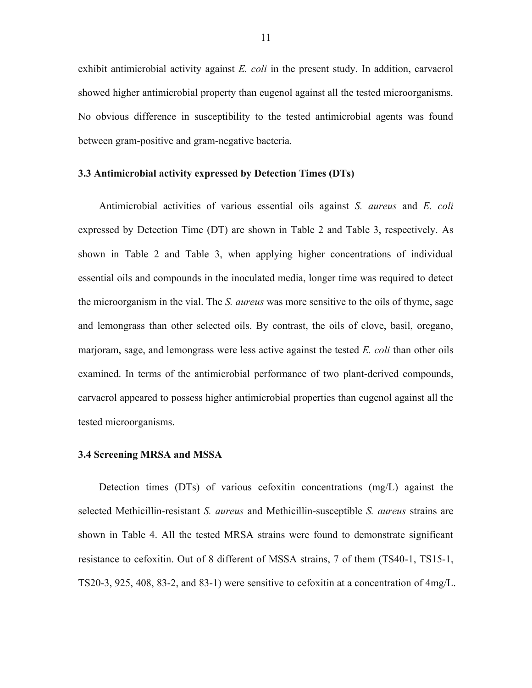exhibit antimicrobial activity against *E. coli* in the present study. In addition, carvacrol showed higher antimicrobial property than eugenol against all the tested microorganisms. No obvious difference in susceptibility to the tested antimicrobial agents was found between gram-positive and gram-negative bacteria.

## **3.3 Antimicrobial activity expressed by Detection Times (DTs)**

Antimicrobial activities of various essential oils against *S. aureus* and *E. coli* expressed by Detection Time (DT) are shown in Table 2 and Table 3, respectively. As shown in Table 2 and Table 3, when applying higher concentrations of individual essential oils and compounds in the inoculated media, longer time was required to detect the microorganism in the vial. The *S. aureus* was more sensitive to the oils of thyme, sage and lemongrass than other selected oils. By contrast, the oils of clove, basil, oregano, marjoram, sage, and lemongrass were less active against the tested *E. coli* than other oils examined. In terms of the antimicrobial performance of two plant-derived compounds, carvacrol appeared to possess higher antimicrobial properties than eugenol against all the tested microorganisms.

#### **3.4 Screening MRSA and MSSA**

Detection times (DTs) of various cefoxitin concentrations (mg/L) against the selected Methicillin-resistant *S. aureus* and Methicillin-susceptible *S. aureus* strains are shown in Table 4. All the tested MRSA strains were found to demonstrate significant resistance to cefoxitin. Out of 8 different of MSSA strains, 7 of them (TS40-1, TS15-1, TS20-3, 925, 408, 83-2, and 83-1) were sensitive to cefoxitin at a concentration of 4mg/L.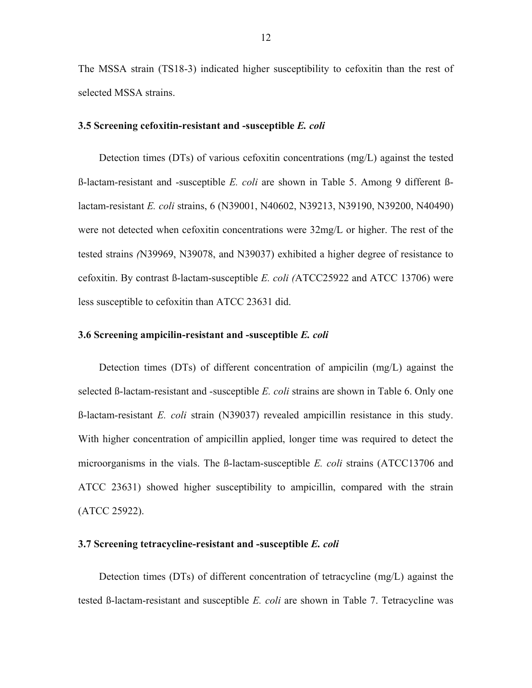The MSSA strain (TS18-3) indicated higher susceptibility to cefoxitin than the rest of selected MSSA strains.

#### **3.5 Screening cefoxitin-resistant and -susceptible** *E. coli*

Detection times (DTs) of various cefoxitin concentrations (mg/L) against the tested ß-lactam-resistant and -susceptible *E. coli* are shown in Table 5. Among 9 different ßlactam-resistant *E. coli* strains, 6 (N39001, N40602, N39213, N39190, N39200, N40490) were not detected when cefoxitin concentrations were 32mg/L or higher. The rest of the tested strains *(*N39969, N39078, and N39037) exhibited a higher degree of resistance to cefoxitin. By contrast ß-lactam-susceptible *E. coli (*ATCC25922 and ATCC 13706) were less susceptible to cefoxitin than ATCC 23631 did.

#### **3.6 Screening ampicilin-resistant and -susceptible** *E. coli*

Detection times (DTs) of different concentration of ampicilin (mg/L) against the selected ß-lactam-resistant and -susceptible *E. coli* strains are shown in Table 6. Only one ß-lactam-resistant *E. coli* strain (N39037) revealed ampicillin resistance in this study. With higher concentration of ampicillin applied, longer time was required to detect the microorganisms in the vials. The ß-lactam-susceptible *E. coli* strains (ATCC13706 and ATCC 23631) showed higher susceptibility to ampicillin, compared with the strain (ATCC 25922).

## **3.7 Screening tetracycline-resistant and -susceptible** *E. coli*

Detection times (DTs) of different concentration of tetracycline (mg/L) against the tested ß-lactam-resistant and susceptible *E. coli* are shown in Table 7. Tetracycline was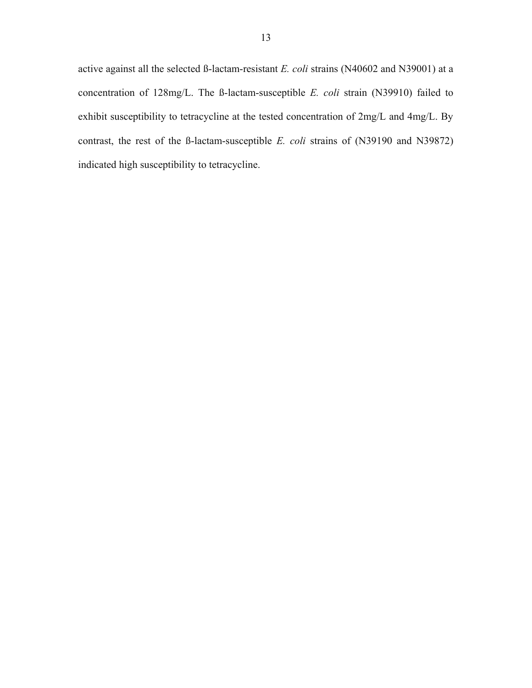active against all the selected ß-lactam-resistant *E. coli* strains (N40602 and N39001) at a concentration of 128mg/L. The ß-lactam-susceptible *E. coli* strain (N39910) failed to exhibit susceptibility to tetracycline at the tested concentration of 2mg/L and 4mg/L. By contrast, the rest of the ß-lactam-susceptible *E. coli* strains of (N39190 and N39872) indicated high susceptibility to tetracycline.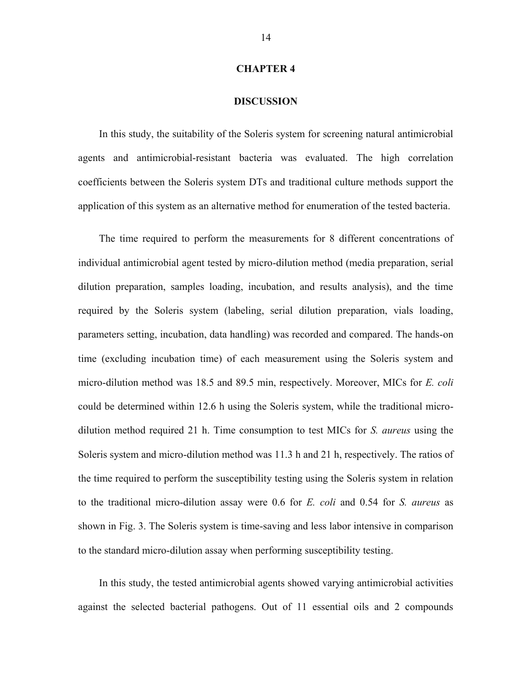#### **CHAPTER 4**

#### **DISCUSSION**

In this study, the suitability of the Soleris system for screening natural antimicrobial agents and antimicrobial-resistant bacteria was evaluated. The high correlation coefficients between the Soleris system DTs and traditional culture methods support the application of this system as an alternative method for enumeration of the tested bacteria.

The time required to perform the measurements for 8 different concentrations of individual antimicrobial agent tested by micro-dilution method (media preparation, serial dilution preparation, samples loading, incubation, and results analysis), and the time required by the Soleris system (labeling, serial dilution preparation, vials loading, parameters setting, incubation, data handling) was recorded and compared. The hands-on time (excluding incubation time) of each measurement using the Soleris system and micro-dilution method was 18.5 and 89.5 min, respectively. Moreover, MICs for *E. coli*  could be determined within 12.6 h using the Soleris system, while the traditional microdilution method required 21 h. Time consumption to test MICs for *S. aureus* using the Soleris system and micro-dilution method was 11.3 h and 21 h, respectively. The ratios of the time required to perform the susceptibility testing using the Soleris system in relation to the traditional micro-dilution assay were 0.6 for *E. coli* and 0.54 for *S. aureus* as shown in Fig. 3. The Soleris system is time-saving and less labor intensive in comparison to the standard micro-dilution assay when performing susceptibility testing.

In this study, the tested antimicrobial agents showed varying antimicrobial activities against the selected bacterial pathogens. Out of 11 essential oils and 2 compounds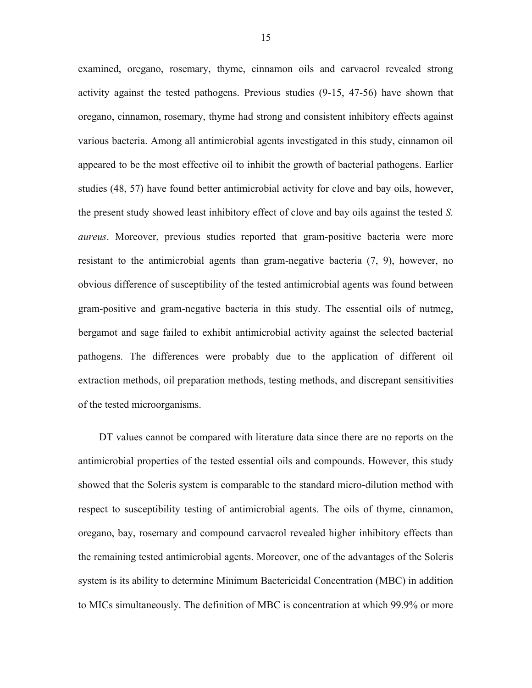examined, oregano, rosemary, thyme, cinnamon oils and carvacrol revealed strong activity against the tested pathogens. Previous studies (9-15, 47-56) have shown that oregano, cinnamon, rosemary, thyme had strong and consistent inhibitory effects against various bacteria. Among all antimicrobial agents investigated in this study, cinnamon oil appeared to be the most effective oil to inhibit the growth of bacterial pathogens. Earlier studies (48, 57) have found better antimicrobial activity for clove and bay oils, however, the present study showed least inhibitory effect of clove and bay oils against the tested *S. aureus*. Moreover, previous studies reported that gram-positive bacteria were more resistant to the antimicrobial agents than gram-negative bacteria (7, 9), however, no obvious difference of susceptibility of the tested antimicrobial agents was found between gram-positive and gram-negative bacteria in this study. The essential oils of nutmeg, bergamot and sage failed to exhibit antimicrobial activity against the selected bacterial pathogens. The differences were probably due to the application of different oil extraction methods, oil preparation methods, testing methods, and discrepant sensitivities of the tested microorganisms.

DT values cannot be compared with literature data since there are no reports on the antimicrobial properties of the tested essential oils and compounds. However, this study showed that the Soleris system is comparable to the standard micro-dilution method with respect to susceptibility testing of antimicrobial agents. The oils of thyme, cinnamon, oregano, bay, rosemary and compound carvacrol revealed higher inhibitory effects than the remaining tested antimicrobial agents. Moreover, one of the advantages of the Soleris system is its ability to determine Minimum Bactericidal Concentration (MBC) in addition to MICs simultaneously. The definition of MBC is concentration at which 99.9% or more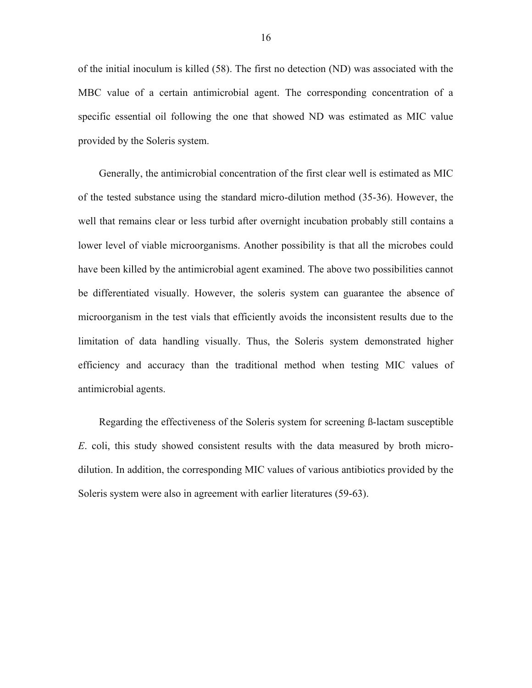of the initial inoculum is killed (58). The first no detection (ND) was associated with the MBC value of a certain antimicrobial agent. The corresponding concentration of a specific essential oil following the one that showed ND was estimated as MIC value provided by the Soleris system.

Generally, the antimicrobial concentration of the first clear well is estimated as MIC of the tested substance using the standard micro-dilution method (35-36). However, the well that remains clear or less turbid after overnight incubation probably still contains a lower level of viable microorganisms. Another possibility is that all the microbes could have been killed by the antimicrobial agent examined. The above two possibilities cannot be differentiated visually. However, the soleris system can guarantee the absence of microorganism in the test vials that efficiently avoids the inconsistent results due to the limitation of data handling visually. Thus, the Soleris system demonstrated higher efficiency and accuracy than the traditional method when testing MIC values of antimicrobial agents.

Regarding the effectiveness of the Soleris system for screening ß-lactam susceptible *E*. coli, this study showed consistent results with the data measured by broth microdilution. In addition, the corresponding MIC values of various antibiotics provided by the Soleris system were also in agreement with earlier literatures (59-63).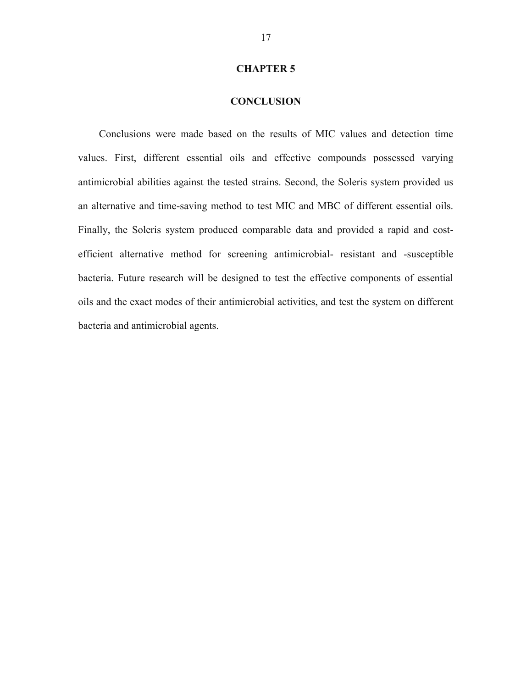## **CHAPTER 5**

## **CONCLUSION**

Conclusions were made based on the results of MIC values and detection time values. First, different essential oils and effective compounds possessed varying antimicrobial abilities against the tested strains. Second, the Soleris system provided us an alternative and time-saving method to test MIC and MBC of different essential oils. Finally, the Soleris system produced comparable data and provided a rapid and costefficient alternative method for screening antimicrobial- resistant and -susceptible bacteria. Future research will be designed to test the effective components of essential oils and the exact modes of their antimicrobial activities, and test the system on different bacteria and antimicrobial agents.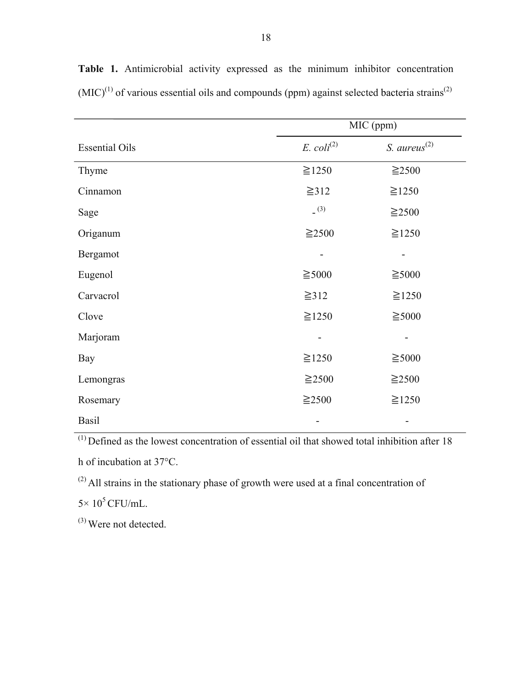|                       | MIC (ppm)                |                   |  |  |
|-----------------------|--------------------------|-------------------|--|--|
| <b>Essential Oils</b> | $E.$ $\text{coli}^{(2)}$ | S. $aureus^{(2)}$ |  |  |
| Thyme                 | $\geq 1250$              | $\geq$ 2500       |  |  |
| Cinnamon              | $\geq 312$               | $\geq$ 1250       |  |  |
| Sage                  | (3)                      | $\geq$ 2500       |  |  |
| Origanum              | $\geq$ 2500              | $\geq 1250$       |  |  |
| Bergamot              |                          |                   |  |  |
| Eugenol               | $\geq 5000$              | $\geq 5000$       |  |  |
| Carvacrol             | $\geq 312$               | $\geq$ 1250       |  |  |
| Clove                 | $\geq 1250$              | $\geq 5000$       |  |  |
| Marjoram              |                          |                   |  |  |
| Bay                   | $\geq 1250$              | $\geq 5000$       |  |  |
| Lemongras             | $\geq$ 2500              | $\geq$ 2500       |  |  |
| Rosemary              | $\geq$ 2500              | $\geq 1250$       |  |  |
| <b>Basil</b>          | -                        | -                 |  |  |

**Table 1.** Antimicrobial activity expressed as the minimum inhibitor concentration  $(MIC)^{(1)}$  of various essential oils and compounds (ppm) against selected bacteria strains<sup>(2)</sup>

 $\frac{(1)}{(1)}$  Defined as the lowest concentration of essential oil that showed total inhibition after 18

h of incubation at 37°C.

(2) All strains in the stationary phase of growth were used at a final concentration of

 $5 \times 10^5$  CFU/mL.

(3) Were not detected.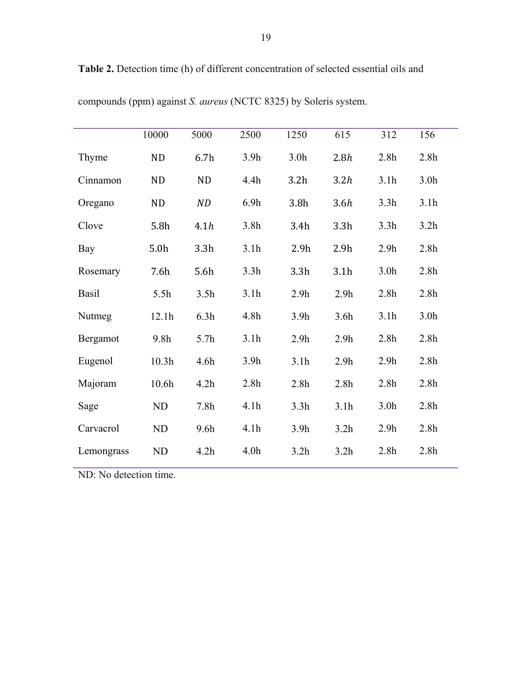|            | 10000            | 5000             | 2500             | 1250             | 615              | 312              | 156              |
|------------|------------------|------------------|------------------|------------------|------------------|------------------|------------------|
| Thyme      | ND               | 6.7 <sub>h</sub> | 3.9 <sub>h</sub> | 3.0 <sub>h</sub> | 2.8h             | 2.8 <sub>h</sub> | 2.8 <sub>h</sub> |
| Cinnamon   | <b>ND</b>        | <b>ND</b>        | 4.4h             | 3.2 <sub>h</sub> | 3.2h             | 3.1h             | 3.0 <sub>h</sub> |
| Oregano    | <b>ND</b>        | ND               | 6.9 <sub>h</sub> | 3.8 <sub>h</sub> | 3.6h             | 3.3h             | 3.1h             |
| Clove      | 5.8h             | 4.1h             | 3.8 <sub>h</sub> | 3.4h             | 3.3 <sub>h</sub> | 3.3 <sub>h</sub> | 3.2 <sub>h</sub> |
| Bay        | 5.0 <sub>h</sub> | 3.3 <sub>h</sub> | 3.1h             | 2.9 <sub>h</sub> | 2.9h             | 2.9 <sub>h</sub> | 2.8 <sub>h</sub> |
| Rosemary   | 7.6h             | 5.6h             | 3.3 <sub>h</sub> | 3.3 <sub>h</sub> | 3.1h             | 3.0 <sub>h</sub> | 2.8 <sub>h</sub> |
| Basil      | 5.5h             | 3.5 <sub>h</sub> | 3.1h             | 2.9h             | 2.9h             | 2.8 <sub>h</sub> | 2.8 <sub>h</sub> |
| Nutmeg     | 12.1h            | 6.3h             | 4.8h             | 3.9h             | 3.6 <sub>h</sub> | 3.1h             | 3.0 <sub>h</sub> |
| Bergamot   | 9.8 <sub>h</sub> | 5.7 <sub>h</sub> | 3.1h             | 2.9 <sub>h</sub> | 2.9 <sub>h</sub> | 2.8 <sub>h</sub> | 2.8 <sub>h</sub> |
| Eugenol    | 10.3h            | 4.6h             | 3.9 <sub>h</sub> | 3.1h             | 2.9h             | 2.9 <sub>h</sub> | 2.8 <sub>h</sub> |
| Majoram    | 10.6h            | 4.2h             | 2.8 <sub>h</sub> | 2.8 <sub>h</sub> | 2.8 <sub>h</sub> | 2.8 <sub>h</sub> | 2.8 <sub>h</sub> |
| Sage       | ND               | 7.8 <sub>h</sub> | 4.1h             | 3.3h             | 3.1h             | 3.0 <sub>h</sub> | 2.8 <sub>h</sub> |
| Carvacrol  | ND               | 9.6h             | 4.1h             | 3.9h             | 3.2 <sub>h</sub> | 2.9 <sub>h</sub> | 2.8 <sub>h</sub> |
| Lemongrass | ND               | 4.2h             | 4.0 <sub>h</sub> | 3.2h             | 3.2h             | 2.8 <sub>h</sub> | 2.8 <sub>h</sub> |

**Table 2.** Detection time (h) of different concentration of selected essential oils and

compounds (ppm) against *S. aureus* (NCTC 8325) by Soleris system.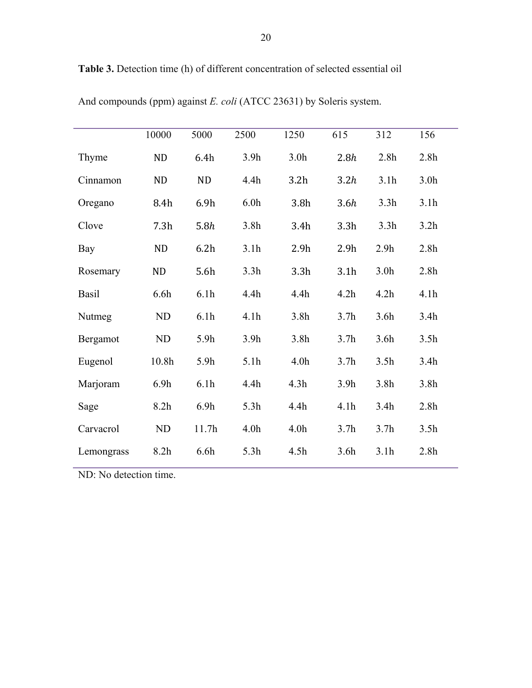|            | 10000            | 5000             | 2500             | 1250             | 615              | 312              | 156              |
|------------|------------------|------------------|------------------|------------------|------------------|------------------|------------------|
| Thyme      | <b>ND</b>        | 6.4h             | 3.9 <sub>h</sub> | 3.0 <sub>h</sub> | 2.8h             | 2.8 <sub>h</sub> | 2.8 <sub>h</sub> |
| Cinnamon   | <b>ND</b>        | <b>ND</b>        | 4.4h             | 3.2 <sub>h</sub> | 3.2h             | 3.1h             | 3.0 <sub>h</sub> |
| Oregano    | 8.4h             | 6.9h             | 6.0 <sub>h</sub> | 3.8 <sub>h</sub> | 3.6h             | 3.3h             | 3.1h             |
| Clove      | 7.3h             | 5.8h             | 3.8 <sub>h</sub> | 3.4h             | 3.3h             | 3.3h             | 3.2 <sub>h</sub> |
| Bay        | <b>ND</b>        | 6.2h             | 3.1h             | 2.9 <sub>h</sub> | 2.9h             | 2.9 <sub>h</sub> | 2.8 <sub>h</sub> |
| Rosemary   | <b>ND</b>        | 5.6h             | 3.3h             | 3.3 <sub>h</sub> | 3.1h             | 3.0 <sub>h</sub> | 2.8 <sub>h</sub> |
| Basil      | 6.6h             | 6.1 <sub>h</sub> | 4.4h             | 4.4h             | 4.2 <sub>h</sub> | 4.2h             | 4.1h             |
| Nutmeg     | ND               | 6.1 <sub>h</sub> | 4.1h             | 3.8 <sub>h</sub> | 3.7 <sub>h</sub> | 3.6 <sub>h</sub> | 3.4h             |
| Bergamot   | ND               | 5.9h             | 3.9 <sub>h</sub> | 3.8 <sub>h</sub> | 3.7 <sub>h</sub> | 3.6 <sub>h</sub> | 3.5 <sub>h</sub> |
| Eugenol    | 10.8h            | 5.9h             | 5.1h             | 4.0 <sub>h</sub> | 3.7 <sub>h</sub> | 3.5 <sub>h</sub> | 3.4h             |
| Marjoram   | 6.9 <sub>h</sub> | 6.1h             | 4.4h             | 4.3h             | 3.9 <sub>h</sub> | 3.8 <sub>h</sub> | 3.8 <sub>h</sub> |
| Sage       | 8.2h             | 6.9h             | 5.3h             | 4.4h             | 4.1h             | 3.4h             | 2.8 <sub>h</sub> |
| Carvacrol  | ND               | 11.7h            | 4.0 <sub>h</sub> | 4.0 <sub>h</sub> | 3.7 <sub>h</sub> | 3.7 <sub>h</sub> | 3.5 <sub>h</sub> |
| Lemongrass | 8.2 <sub>h</sub> | 6.6 <sub>h</sub> | 5.3h             | 4.5h             | 3.6 <sub>h</sub> | 3.1h             | 2.8 <sub>h</sub> |

**Table 3.** Detection time (h) of different concentration of selected essential oil

And compounds (ppm) against *E. coli* (ATCC 23631) by Soleris system.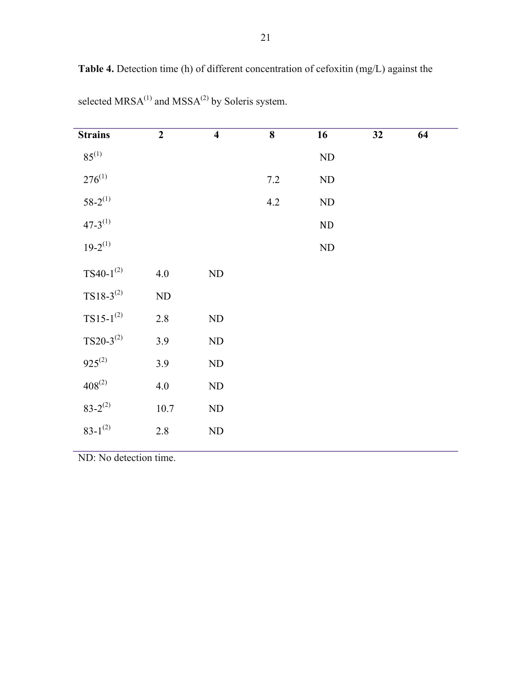| <b>Strains</b>  | $\boldsymbol{2}$ | $\overline{\mathbf{4}}$ | 8       | 16         | 32 | 64 |  |
|-----------------|------------------|-------------------------|---------|------------|----|----|--|
| $85^{(1)}$      |                  |                         |         | $\rm ND$   |    |    |  |
| $276^{(1)}$     |                  |                         | $7.2\,$ | ${\rm ND}$ |    |    |  |
| $58 - 2^{(1)}$  |                  |                         | 4.2     | ${\rm ND}$ |    |    |  |
| $47 - 3^{(1)}$  |                  |                         |         | $\rm ND$   |    |    |  |
| $19-2^{(1)}$    |                  |                         |         | ${\rm ND}$ |    |    |  |
| TS40- $1^{(2)}$ | 4.0              | ${\rm ND}$              |         |            |    |    |  |
| $TS18-3^{(2)}$  | ND               |                         |         |            |    |    |  |
| $TS15-1^{(2)}$  | 2.8              | $\rm ND$                |         |            |    |    |  |
| $TS20-3^{(2)}$  | 3.9              | $\rm ND$                |         |            |    |    |  |
| $925^{(2)}$     | 3.9              | $\rm ND$                |         |            |    |    |  |
| $408^{(2)}$     | 4.0              | ND                      |         |            |    |    |  |
| $83 - 2^{(2)}$  | 10.7             | ${\rm ND}$              |         |            |    |    |  |

**Table 4.** Detection time (h) of different concentration of cefoxitin (mg/L) against the

selected  $MRSA^{(1)}$  and  $MSSA^{(2)}$  by Soleris system.

ND: No detection time.

2.8

ND

 $83 - 1^{(2)}$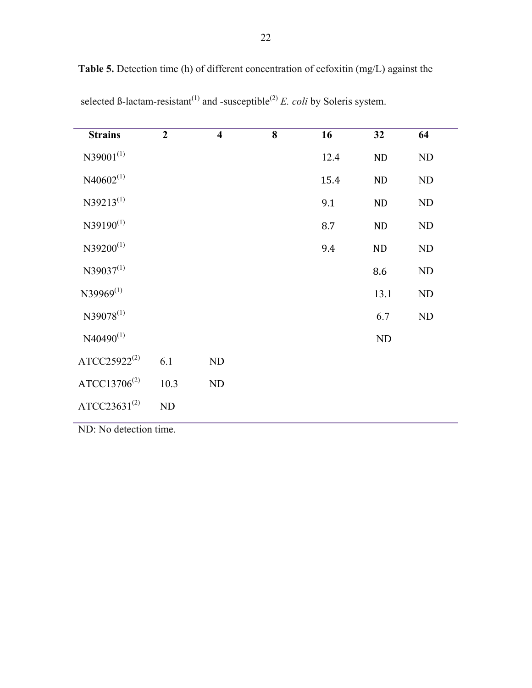| <b>Strains</b>           | $\overline{2}$ | $\overline{\mathbf{4}}$ | 8 | 16   | 32       | 64         |
|--------------------------|----------------|-------------------------|---|------|----------|------------|
| $N39001^{(1)}$           |                |                         |   | 12.4 | ND       | ${\rm ND}$ |
| $N40602^{(1)}$           |                |                         |   | 15.4 | ND       | ND         |
| $N39213^{(1)}$           |                |                         |   | 9.1  | ND       | ND         |
| $N39190^{(1)}$           |                |                         |   | 8.7  | ND       | ND         |
| $N39200^{(1)}$           |                |                         |   | 9.4  | $\rm ND$ | ${\rm ND}$ |
| $N39037^{(1)}$           |                |                         |   |      | 8.6      | ${\rm ND}$ |
| $N39969^{(1)}$           |                |                         |   |      | 13.1     | ND         |
| $N39078^{(1)}$           |                |                         |   |      | 6.7      | ${\rm ND}$ |
| $N40490^{(1)}$           |                |                         |   |      | ND       |            |
| $ATCC25922^{(2)}$        | 6.1            | ND                      |   |      |          |            |
| ATCC13706 <sup>(2)</sup> | 10.3           | ND                      |   |      |          |            |
| ATCC23631 $(2)$          | ND             |                         |   |      |          |            |

**Table 5.** Detection time (h) of different concentration of cefoxitin (mg/L) against the

selected ß-lactam-resistant<sup>(1)</sup> and -susceptible<sup>(2)</sup> *E. coli* by Soleris system.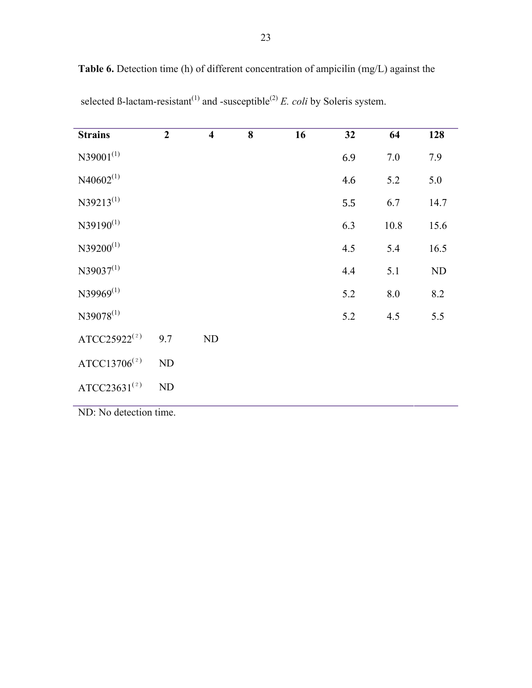| 23 |  |
|----|--|
|    |  |

| <b>Strains</b>           | $\overline{2}$ | $\overline{\mathbf{4}}$ | 8 | 16 | 32  | 64      | 128      |
|--------------------------|----------------|-------------------------|---|----|-----|---------|----------|
| $N39001^{(1)}$           |                |                         |   |    | 6.9 | 7.0     | 7.9      |
| $N40602^{(1)}$           |                |                         |   |    | 4.6 | 5.2     | 5.0      |
| $N39213^{(1)}$           |                |                         |   |    | 5.5 | 6.7     | 14.7     |
| $N39190^{(1)}$           |                |                         |   |    | 6.3 | 10.8    | 15.6     |
| $N39200^{(1)}$           |                |                         |   |    | 4.5 | 5.4     | 16.5     |
| $N39037^{(1)}$           |                |                         |   |    | 4.4 | 5.1     | $\rm ND$ |
| $N39969^{(1)}$           |                |                         |   |    | 5.2 | $8.0\,$ | 8.2      |
| $N39078^{(1)}$           |                |                         |   |    | 5.2 | 4.5     | 5.5      |
| ATCC25922 <sup>(2)</sup> | 9.7            | ND                      |   |    |     |         |          |
| ATCC13706 $(2)$          | ND             |                         |   |    |     |         |          |
| ATCC23631 $(2)$          | ND             |                         |   |    |     |         |          |
| $MD. No. det$            |                |                         |   |    |     |         |          |

**Table 6.** Detection time (h) of different concentration of ampicilin (mg/L) against the

selected ß-lactam-resistant<sup>(1)</sup> and -susceptible<sup>(2)</sup> *E. coli* by Soleris system.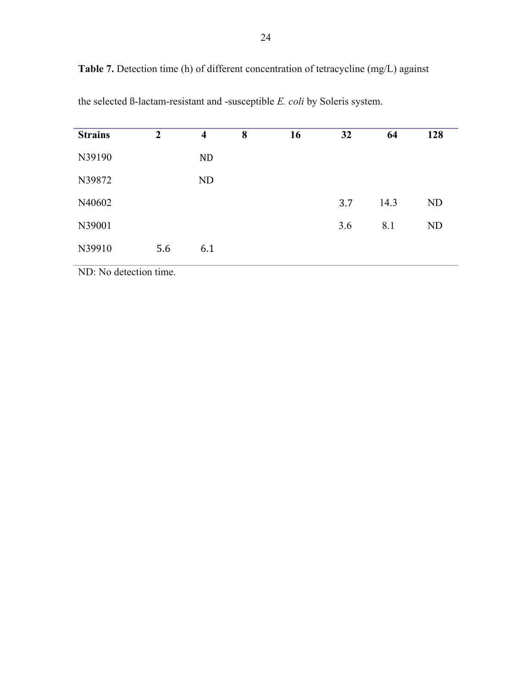| Table 7. Detection time (h) of different concentration of tetracycline (mg/L) against |  |  |  |  |
|---------------------------------------------------------------------------------------|--|--|--|--|
|---------------------------------------------------------------------------------------|--|--|--|--|

| <b>Strains</b> | $\overline{2}$ | $\overline{\mathbf{4}}$ | 8 | 16 | 32  | 64   | 128            |
|----------------|----------------|-------------------------|---|----|-----|------|----------------|
| N39190         |                | <b>ND</b>               |   |    |     |      |                |
| N39872         |                | ND                      |   |    |     |      |                |
| N40602         |                |                         |   |    | 3.7 | 14.3 | N <sub>D</sub> |
| N39001         |                |                         |   |    | 3.6 | 8.1  | <b>ND</b>      |
| N39910         | 5.6            | 6.1                     |   |    |     |      |                |

the selected ß-lactam-resistant and -susceptible *E. coli* by Soleris system.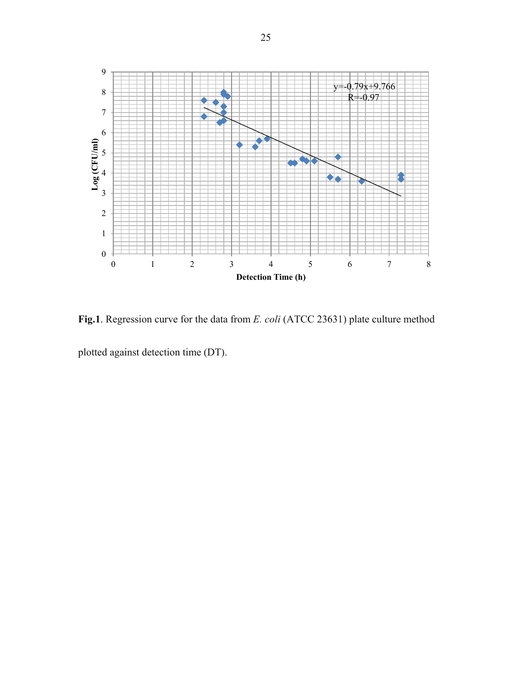

**Fig.1**. Regression curve for the data from *E. coli* (ATCC 23631) plate culture method plotted against detection time (DT).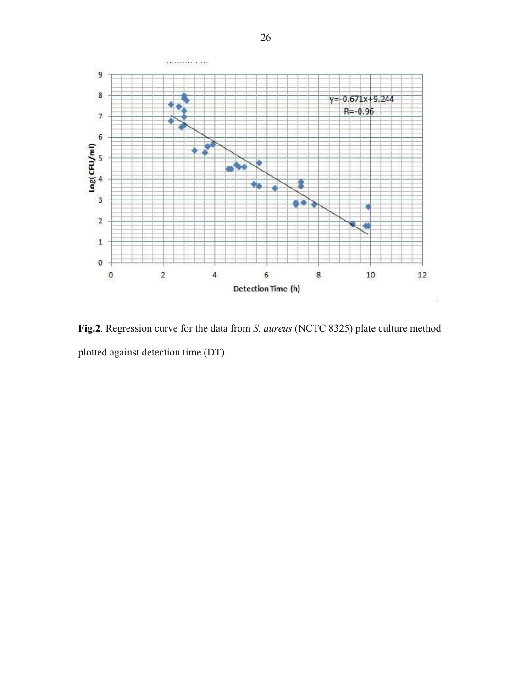

**Fig.2**. Regression curve for the data from *S. aureus* (NCTC 8325) plate culture method plotted against detection time (DT).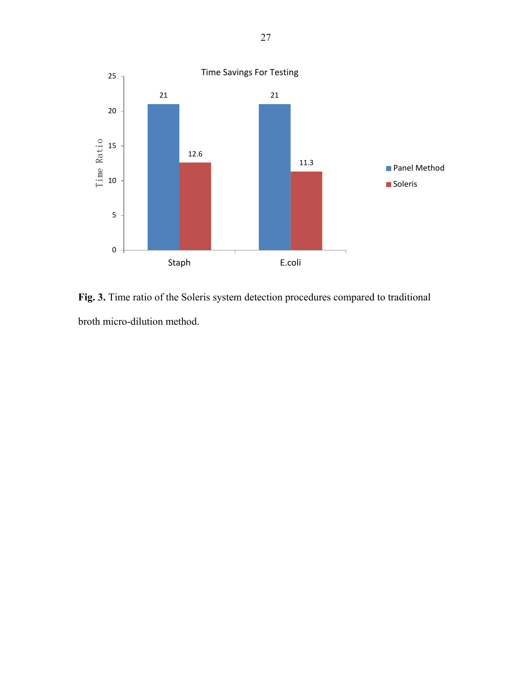

**Fig. 3.** Time ratio of the Soleris system detection procedures compared to traditional broth micro-dilution method.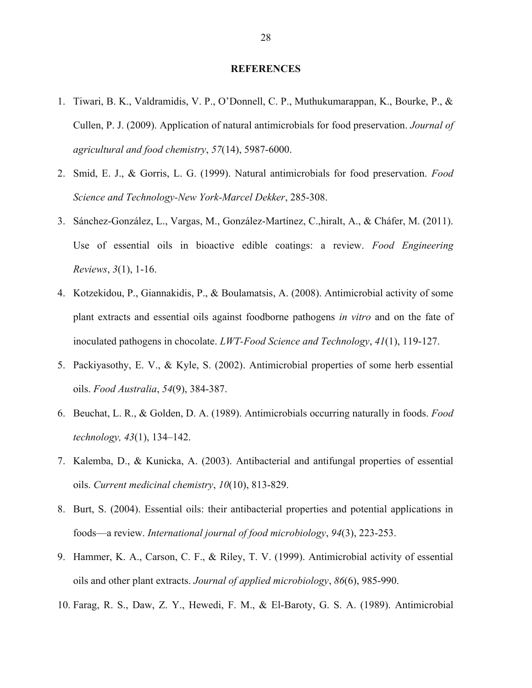#### **REFERENCES**

- 1. Tiwari, B. K., Valdramidis, V. P., O'Donnell, C. P., Muthukumarappan, K., Bourke, P., & Cullen, P. J. (2009). Application of natural antimicrobials for food preservation. *Journal of agricultural and food chemistry*, *57*(14), 5987-6000.
- 2. Smid, E. J., & Gorris, L. G. (1999). Natural antimicrobials for food preservation. *Food Science and Technology-New York-Marcel Dekker*, 285-308.
- 3. Sánchez-González, L., Vargas, M., González-Martínez, C.,hiralt, A., & Cháfer, M. (2011). Use of essential oils in bioactive edible coatings: a review. *Food Engineering Reviews*, *3*(1), 1-16.
- 4. Kotzekidou, P., Giannakidis, P., & Boulamatsis, A. (2008). Antimicrobial activity of some plant extracts and essential oils against foodborne pathogens *in vitro* and on the fate of inoculated pathogens in chocolate. *LWT-Food Science and Technology*, *41*(1), 119-127.
- 5. Packiyasothy, E. V., & Kyle, S. (2002). Antimicrobial properties of some herb essential oils. *Food Australia*, *54*(9), 384-387.
- 6. Beuchat, L. R., & Golden, D. A. (1989). Antimicrobials occurring naturally in foods. *Food technology, 43*(1), 134–142.
- 7. Kalemba, D., & Kunicka, A. (2003). Antibacterial and antifungal properties of essential oils. *Current medicinal chemistry*, *10*(10), 813-829.
- 8. Burt, S. (2004). Essential oils: their antibacterial properties and potential applications in foods—a review. *International journal of food microbiology*, *94*(3), 223-253.
- 9. Hammer, K. A., Carson, C. F., & Riley, T. V. (1999). Antimicrobial activity of essential oils and other plant extracts. *Journal of applied microbiology*, *86*(6), 985-990.
- 10. Farag, R. S., Daw, Z. Y., Hewedi, F. M., & El-Baroty, G. S. A. (1989). Antimicrobial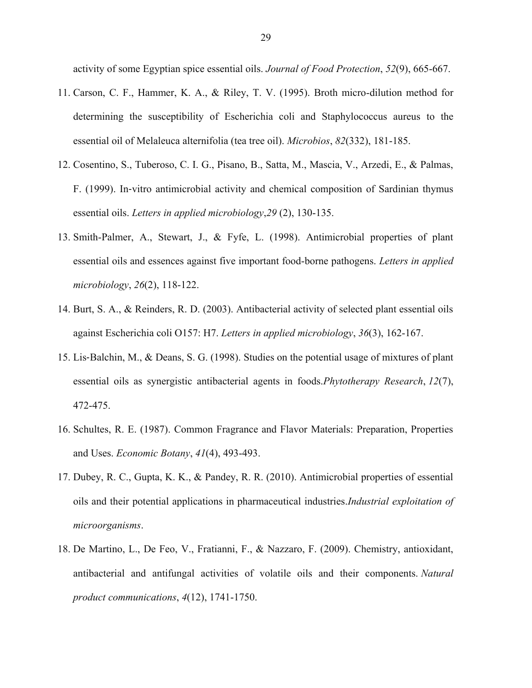activity of some Egyptian spice essential oils. *Journal of Food Protection*, *52*(9), 665-667.

- 11. Carson, C. F., Hammer, K. A., & Riley, T. V. (1995). Broth micro-dilution method for determining the susceptibility of Escherichia coli and Staphylococcus aureus to the essential oil of Melaleuca alternifolia (tea tree oil). *Microbios*, *82*(332), 181-185.
- 12. Cosentino, S., Tuberoso, C. I. G., Pisano, B., Satta, M., Mascia, V., Arzedi, E., & Palmas, F. (1999). In‐vitro antimicrobial activity and chemical composition of Sardinian thymus essential oils. *Letters in applied microbiology*,*29* (2), 130-135.
- 13. Smith-Palmer, A., Stewart, J., & Fyfe, L. (1998). Antimicrobial properties of plant essential oils and essences against five important food-borne pathogens. *Letters in applied microbiology*, *26*(2), 118-122.
- 14. Burt, S. A., & Reinders, R. D. (2003). Antibacterial activity of selected plant essential oils against Escherichia coli O157: H7. *Letters in applied microbiology*, *36*(3), 162-167.
- 15. Lis‐Balchin, M., & Deans, S. G. (1998). Studies on the potential usage of mixtures of plant essential oils as synergistic antibacterial agents in foods.*Phytotherapy Research*, *12*(7), 472-475.
- 16. Schultes, R. E. (1987). Common Fragrance and Flavor Materials: Preparation, Properties and Uses. *Economic Botany*, *41*(4), 493-493.
- 17. Dubey, R. C., Gupta, K. K., & Pandey, R. R. (2010). Antimicrobial properties of essential oils and their potential applications in pharmaceutical industries.*Industrial exploitation of microorganisms*.
- 18. De Martino, L., De Feo, V., Fratianni, F., & Nazzaro, F. (2009). Chemistry, antioxidant, antibacterial and antifungal activities of volatile oils and their components. *Natural product communications*, *4*(12), 1741-1750.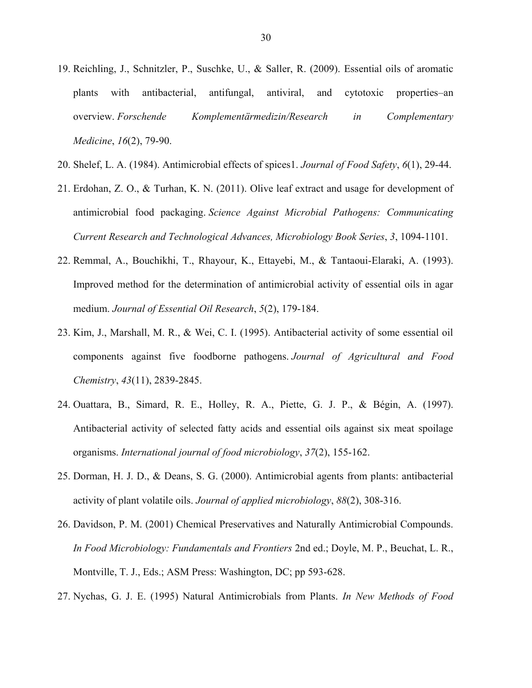- 19. Reichling, J., Schnitzler, P., Suschke, U., & Saller, R. (2009). Essential oils of aromatic plants with antibacterial, antifungal, antiviral, and cytotoxic properties–an overview. *Forschende Komplementärmedizin/Research in Complementary Medicine*, *16*(2), 79-90.
- 20. Shelef, L. A. (1984). Antimicrobial effects of spices1. *Journal of Food Safety*, *6*(1), 29-44.
- 21. Erdohan, Z. O., & Turhan, K. N. (2011). Olive leaf extract and usage for development of antimicrobial food packaging. *Science Against Microbial Pathogens: Communicating Current Research and Technological Advances, Microbiology Book Series*, *3*, 1094-1101.
- 22. Remmal, A., Bouchikhi, T., Rhayour, K., Ettayebi, M., & Tantaoui-Elaraki, A. (1993). Improved method for the determination of antimicrobial activity of essential oils in agar medium. *Journal of Essential Oil Research*, *5*(2), 179-184.
- 23. Kim, J., Marshall, M. R., & Wei, C. I. (1995). Antibacterial activity of some essential oil components against five foodborne pathogens. *Journal of Agricultural and Food Chemistry*, *43*(11), 2839-2845.
- 24. Ouattara, B., Simard, R. E., Holley, R. A., Piette, G. J. P., & Bégin, A. (1997). Antibacterial activity of selected fatty acids and essential oils against six meat spoilage organisms. *International journal of food microbiology*, *37*(2), 155-162.
- 25. Dorman, H. J. D., & Deans, S. G. (2000). Antimicrobial agents from plants: antibacterial activity of plant volatile oils. *Journal of applied microbiology*, *88*(2), 308-316.
- 26. Davidson, P. M. (2001) Chemical Preservatives and Naturally Antimicrobial Compounds. *In Food Microbiology: Fundamentals and Frontiers* 2nd ed.; Doyle, M. P., Beuchat, L. R., Montville, T. J., Eds.; ASM Press: Washington, DC; pp 593-628.
- 27. Nychas, G. J. E. (1995) Natural Antimicrobials from Plants. *In New Methods of Food*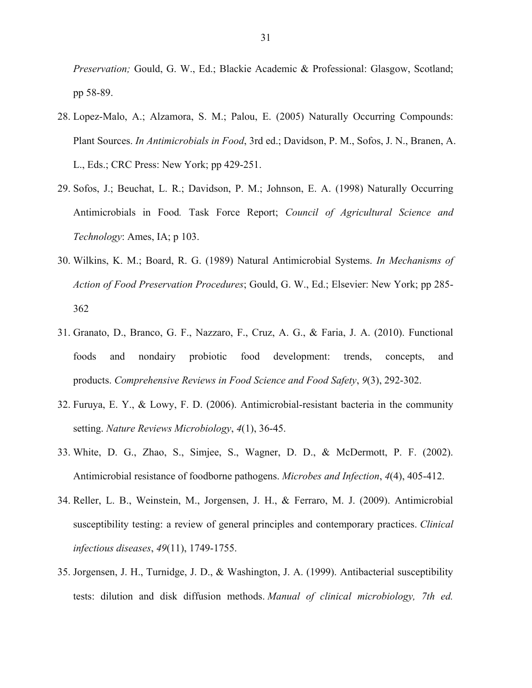*Preservation;* Gould, G. W., Ed.; Blackie Academic & Professional: Glasgow, Scotland; pp 58-89.

- 28. Lopez-Malo, A.; Alzamora, S. M.; Palou, E. (2005) Naturally Occurring Compounds: Plant Sources. *In Antimicrobials in Food*, 3rd ed.; Davidson, P. M., Sofos, J. N., Branen, A. L., Eds.; CRC Press: New York; pp 429-251.
- 29. Sofos, J.; Beuchat, L. R.; Davidson, P. M.; Johnson, E. A. (1998) Naturally Occurring Antimicrobials in Food*.* Task Force Report; *Council of Agricultural Science and Technology*: Ames, IA; p 103.
- 30. Wilkins, K. M.; Board, R. G. (1989) Natural Antimicrobial Systems. *In Mechanisms of Action of Food Preservation Procedures*; Gould, G. W., Ed.; Elsevier: New York; pp 285- 362
- 31. Granato, D., Branco, G. F., Nazzaro, F., Cruz, A. G., & Faria, J. A. (2010). Functional foods and nondairy probiotic food development: trends, concepts, and products. *Comprehensive Reviews in Food Science and Food Safety*, *9*(3), 292-302.
- 32. Furuya, E. Y., & Lowy, F. D. (2006). Antimicrobial-resistant bacteria in the community setting. *Nature Reviews Microbiology*, *4*(1), 36-45.
- 33. White, D. G., Zhao, S., Simjee, S., Wagner, D. D., & McDermott, P. F. (2002). Antimicrobial resistance of foodborne pathogens. *Microbes and Infection*, *4*(4), 405-412.
- 34. Reller, L. B., Weinstein, M., Jorgensen, J. H., & Ferraro, M. J. (2009). Antimicrobial susceptibility testing: a review of general principles and contemporary practices. *Clinical infectious diseases*, *49*(11), 1749-1755.
- 35. Jorgensen, J. H., Turnidge, J. D., & Washington, J. A. (1999). Antibacterial susceptibility tests: dilution and disk diffusion methods. *Manual of clinical microbiology, 7th ed.*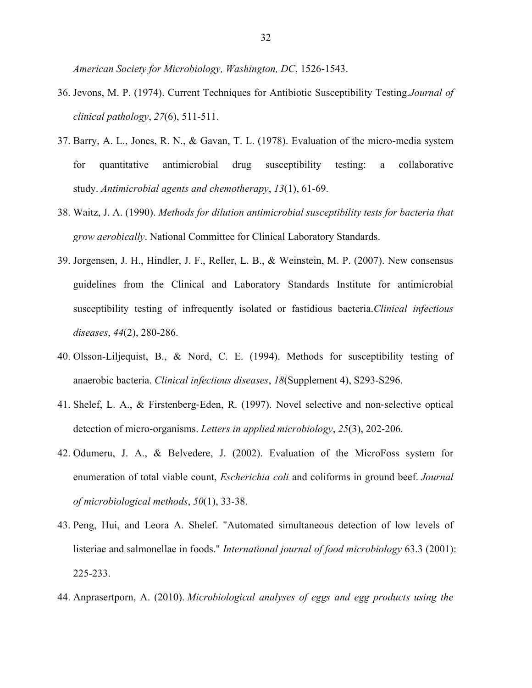*American Society for Microbiology, Washington, DC*, 1526-1543.

- 36. Jevons, M. P. (1974). Current Techniques for Antibiotic Susceptibility Testing.*Journal of clinical pathology*, *27*(6), 511-511.
- 37. Barry, A. L., Jones, R. N., & Gavan, T. L. (1978). Evaluation of the micro-media system for quantitative antimicrobial drug susceptibility testing: a collaborative study. *Antimicrobial agents and chemotherapy*, *13*(1), 61-69.
- 38. Waitz, J. A. (1990). *Methods for dilution antimicrobial susceptibility tests for bacteria that grow aerobically*. National Committee for Clinical Laboratory Standards.
- 39. Jorgensen, J. H., Hindler, J. F., Reller, L. B., & Weinstein, M. P. (2007). New consensus guidelines from the Clinical and Laboratory Standards Institute for antimicrobial susceptibility testing of infrequently isolated or fastidious bacteria.*Clinical infectious diseases*, *44*(2), 280-286.
- 40. Olsson-Liljequist, B., & Nord, C. E. (1994). Methods for susceptibility testing of anaerobic bacteria. *Clinical infectious diseases*, *18*(Supplement 4), S293-S296.
- 41. Shelef, L. A., & Firstenberg‐Eden, R. (1997). Novel selective and non‐selective optical detection of micro‐organisms. *Letters in applied microbiology*, *25*(3), 202-206.
- 42. Odumeru, J. A., & Belvedere, J. (2002). Evaluation of the MicroFoss system for enumeration of total viable count, *Escherichia coli* and coliforms in ground beef. *Journal of microbiological methods*, *50*(1), 33-38.
- 43. Peng, Hui, and Leora A. Shelef. "Automated simultaneous detection of low levels of listeriae and salmonellae in foods." *International journal of food microbiology* 63.3 (2001): 225-233.
- 44. Anprasertporn, A. (2010). *Microbiological analyses of eggs and egg products using the*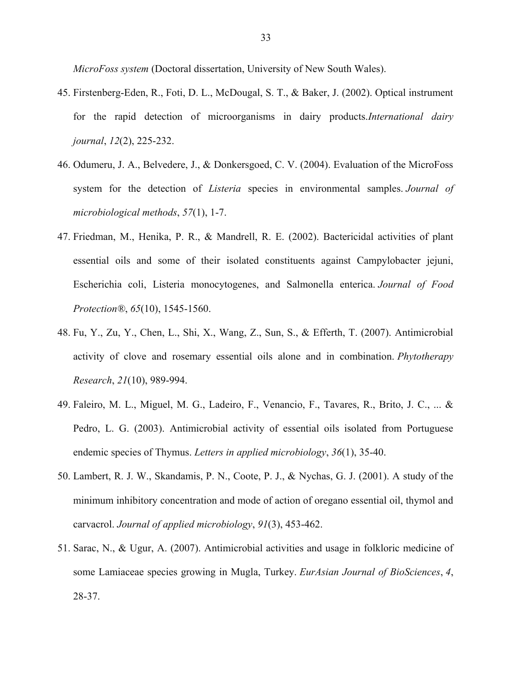*MicroFoss system* (Doctoral dissertation, University of New South Wales).

- 45. Firstenberg-Eden, R., Foti, D. L., McDougal, S. T., & Baker, J. (2002). Optical instrument for the rapid detection of microorganisms in dairy products.*International dairy journal*, *12*(2), 225-232.
- 46. Odumeru, J. A., Belvedere, J., & Donkersgoed, C. V. (2004). Evaluation of the MicroFoss system for the detection of *Listeria* species in environmental samples. *Journal of microbiological methods*, *57*(1), 1-7.
- 47. Friedman, M., Henika, P. R., & Mandrell, R. E. (2002). Bactericidal activities of plant essential oils and some of their isolated constituents against Campylobacter jejuni, Escherichia coli, Listeria monocytogenes, and Salmonella enterica. *Journal of Food Protection®*, *65*(10), 1545-1560.
- 48. Fu, Y., Zu, Y., Chen, L., Shi, X., Wang, Z., Sun, S., & Efferth, T. (2007). Antimicrobial activity of clove and rosemary essential oils alone and in combination. *Phytotherapy Research*, *21*(10), 989-994.
- 49. Faleiro, M. L., Miguel, M. G., Ladeiro, F., Venancio, F., Tavares, R., Brito, J. C., ... & Pedro, L. G. (2003). Antimicrobial activity of essential oils isolated from Portuguese endemic species of Thymus. *Letters in applied microbiology*, *36*(1), 35-40.
- 50. Lambert, R. J. W., Skandamis, P. N., Coote, P. J., & Nychas, G. J. (2001). A study of the minimum inhibitory concentration and mode of action of oregano essential oil, thymol and carvacrol. *Journal of applied microbiology*, *91*(3), 453-462.
- 51. Sarac, N., & Ugur, A. (2007). Antimicrobial activities and usage in folkloric medicine of some Lamiaceae species growing in Mugla, Turkey. *EurAsian Journal of BioSciences*, *4*, 28-37.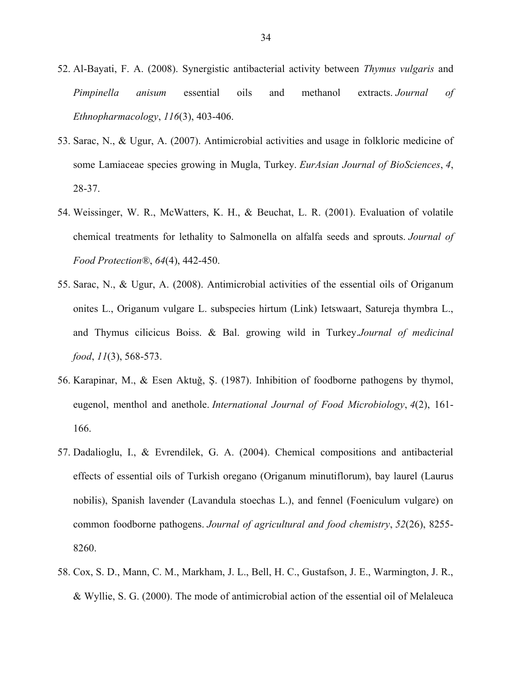- 52. Al-Bayati, F. A. (2008). Synergistic antibacterial activity between *Thymus vulgaris* and *Pimpinella anisum* essential oils and methanol extracts. *Journal of Ethnopharmacology*, *116*(3), 403-406.
- 53. Sarac, N., & Ugur, A. (2007). Antimicrobial activities and usage in folkloric medicine of some Lamiaceae species growing in Mugla, Turkey. *EurAsian Journal of BioSciences*, *4*, 28-37.
- 54. Weissinger, W. R., McWatters, K. H., & Beuchat, L. R. (2001). Evaluation of volatile chemical treatments for lethality to Salmonella on alfalfa seeds and sprouts. *Journal of Food Protection®*, *64*(4), 442-450.
- 55. Sarac, N., & Ugur, A. (2008). Antimicrobial activities of the essential oils of Origanum onites L., Origanum vulgare L. subspecies hirtum (Link) Ietswaart, Satureja thymbra L., and Thymus cilicicus Boiss. & Bal. growing wild in Turkey.*Journal of medicinal food*, *11*(3), 568-573.
- 56. Karapinar, M., & Esen Aktuǧ, Ş. (1987). Inhibition of foodborne pathogens by thymol, eugenol, menthol and anethole. *International Journal of Food Microbiology*, *4*(2), 161- 166.
- 57. Dadalioglu, I., & Evrendilek, G. A. (2004). Chemical compositions and antibacterial effects of essential oils of Turkish oregano (Origanum minutiflorum), bay laurel (Laurus nobilis), Spanish lavender (Lavandula stoechas L.), and fennel (Foeniculum vulgare) on common foodborne pathogens. *Journal of agricultural and food chemistry*, *52*(26), 8255- 8260.
- 58. Cox, S. D., Mann, C. M., Markham, J. L., Bell, H. C., Gustafson, J. E., Warmington, J. R., & Wyllie, S. G. (2000). The mode of antimicrobial action of the essential oil of Melaleuca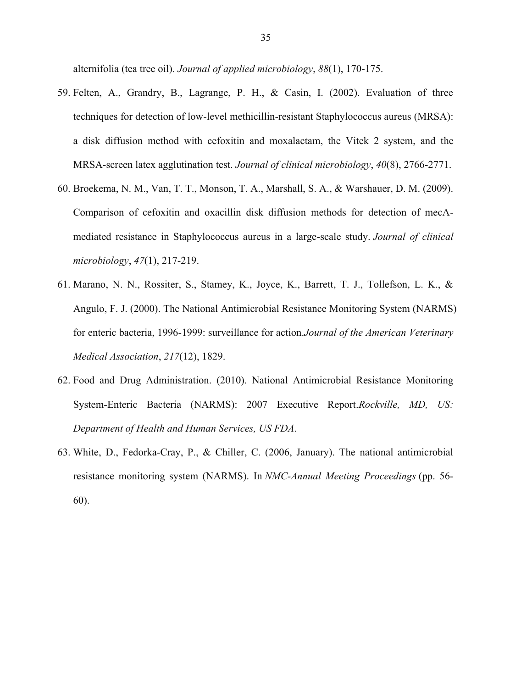alternifolia (tea tree oil). *Journal of applied microbiology*, *88*(1), 170-175.

- 59. Felten, A., Grandry, B., Lagrange, P. H., & Casin, I. (2002). Evaluation of three techniques for detection of low-level methicillin-resistant Staphylococcus aureus (MRSA): a disk diffusion method with cefoxitin and moxalactam, the Vitek 2 system, and the MRSA-screen latex agglutination test. *Journal of clinical microbiology*, *40*(8), 2766-2771.
- 60. Broekema, N. M., Van, T. T., Monson, T. A., Marshall, S. A., & Warshauer, D. M. (2009). Comparison of cefoxitin and oxacillin disk diffusion methods for detection of mecAmediated resistance in Staphylococcus aureus in a large-scale study. *Journal of clinical microbiology*, *47*(1), 217-219.
- 61. Marano, N. N., Rossiter, S., Stamey, K., Joyce, K., Barrett, T. J., Tollefson, L. K., & Angulo, F. J. (2000). The National Antimicrobial Resistance Monitoring System (NARMS) for enteric bacteria, 1996-1999: surveillance for action.*Journal of the American Veterinary Medical Association*, *217*(12), 1829.
- 62. Food and Drug Administration. (2010). National Antimicrobial Resistance Monitoring System-Enteric Bacteria (NARMS): 2007 Executive Report.*Rockville, MD, US: Department of Health and Human Services, US FDA*.
- 63. White, D., Fedorka-Cray, P., & Chiller, C. (2006, January). The national antimicrobial resistance monitoring system (NARMS). In *NMC-Annual Meeting Proceedings* (pp. 56- 60).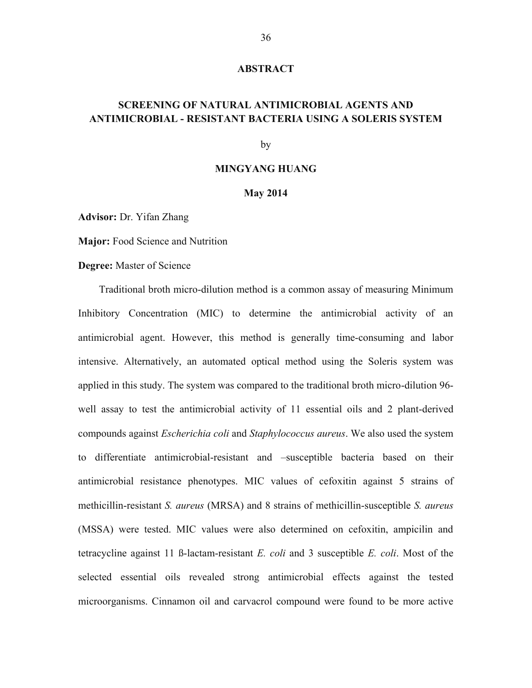#### **ABSTRACT**

# **SCREENING OF NATURAL ANTIMICROBIAL AGENTS AND ANTIMICROBIAL - RESISTANT BACTERIA USING A SOLERIS SYSTEM**

by

# **MINGYANG HUANG**

#### **May 2014**

**Advisor:** Dr. Yifan Zhang

**Major:** Food Science and Nutrition

**Degree:** Master of Science

Traditional broth micro-dilution method is a common assay of measuring Minimum Inhibitory Concentration (MIC) to determine the antimicrobial activity of an antimicrobial agent. However, this method is generally time-consuming and labor intensive. Alternatively, an automated optical method using the Soleris system was applied in this study. The system was compared to the traditional broth micro-dilution 96 well assay to test the antimicrobial activity of 11 essential oils and 2 plant-derived compounds against *Escherichia coli* and *Staphylococcus aureus*. We also used the system to differentiate antimicrobial-resistant and –susceptible bacteria based on their antimicrobial resistance phenotypes. MIC values of cefoxitin against 5 strains of methicillin-resistant *S. aureus* (MRSA) and 8 strains of methicillin-susceptible *S. aureus* (MSSA) were tested. MIC values were also determined on cefoxitin, ampicilin and tetracycline against 11 ß-lactam-resistant *E. coli* and 3 susceptible *E. coli*. Most of the selected essential oils revealed strong antimicrobial effects against the tested microorganisms. Cinnamon oil and carvacrol compound were found to be more active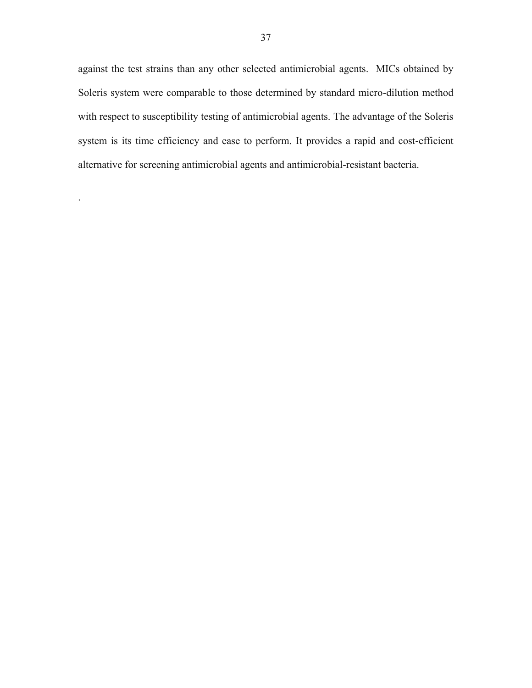against the test strains than any other selected antimicrobial agents. MICs obtained by Soleris system were comparable to those determined by standard micro-dilution method with respect to susceptibility testing of antimicrobial agents. The advantage of the Soleris system is its time efficiency and ease to perform. It provides a rapid and cost-efficient alternative for screening antimicrobial agents and antimicrobial-resistant bacteria.

.